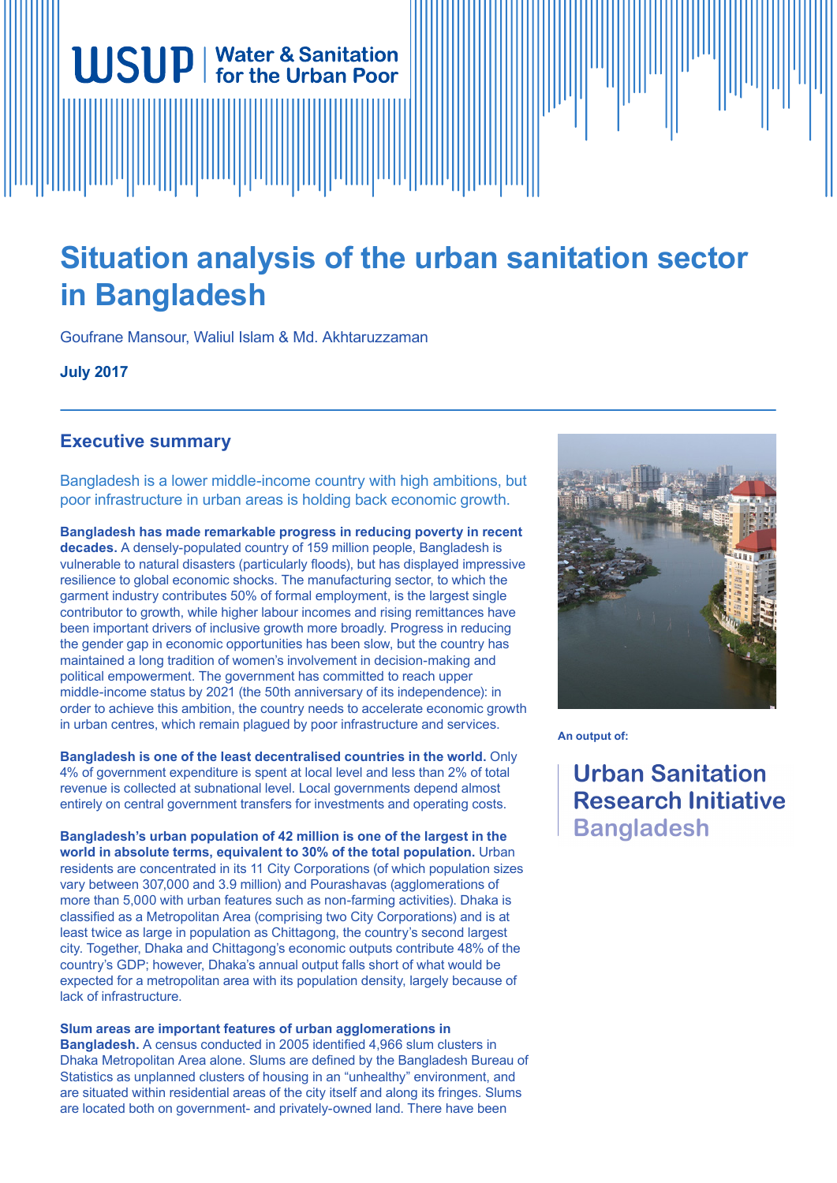# **Situation analysis of the urban sanitation sector in Bangladesh**

Goufrane Mansour, Waliul Islam & Md. Akhtaruzzaman

**WSUP** | Water & Sanitation

**July 2017**

## **Executive summary**

Bangladesh is a lower middle-income country with high ambitions, but poor infrastructure in urban areas is holding back economic growth.

**Bangladesh has made remarkable progress in reducing poverty in recent decades.** A densely-populated country of 159 million people, Bangladesh is vulnerable to natural disasters (particularly floods), but has displayed impressive resilience to global economic shocks. The manufacturing sector, to which the garment industry contributes 50% of formal employment, is the largest single contributor to growth, while higher labour incomes and rising remittances have been important drivers of inclusive growth more broadly. Progress in reducing the gender gap in economic opportunities has been slow, but the country has maintained a long tradition of women's involvement in decision-making and political empowerment. The government has committed to reach upper middle-income status by 2021 (the 50th anniversary of its independence): in order to achieve this ambition, the country needs to accelerate economic growth in urban centres, which remain plagued by poor infrastructure and services.

**Bangladesh is one of the least decentralised countries in the world.** Only 4% of government expenditure is spent at local level and less than 2% of total revenue is collected at subnational level. Local governments depend almost entirely on central government transfers for investments and operating costs.

**Bangladesh's urban population of 42 million is one of the largest in the world in absolute terms, equivalent to 30% of the total population.** Urban residents are concentrated in its 11 City Corporations (of which population sizes vary between 307,000 and 3.9 million) and Pourashavas (agglomerations of more than 5,000 with urban features such as non-farming activities). Dhaka is classified as a Metropolitan Area (comprising two City Corporations) and is at least twice as large in population as Chittagong, the country's second largest city. Together, Dhaka and Chittagong's economic outputs contribute 48% of the country's GDP; however, Dhaka's annual output falls short of what would be expected for a metropolitan area with its population density, largely because of lack of infrastructure.

**Slum areas are important features of urban agglomerations in Bangladesh.** A census conducted in 2005 identified 4,966 slum clusters in Dhaka Metropolitan Area alone. Slums are defined by the Bangladesh Bureau of Statistics as unplanned clusters of housing in an "unhealthy" environment, and are situated within residential areas of the city itself and along its fringes. Slums are located both on government- and privately-owned land. There have been



**An output of:**

**Urban Sanitation Research Initiative Bangladesh**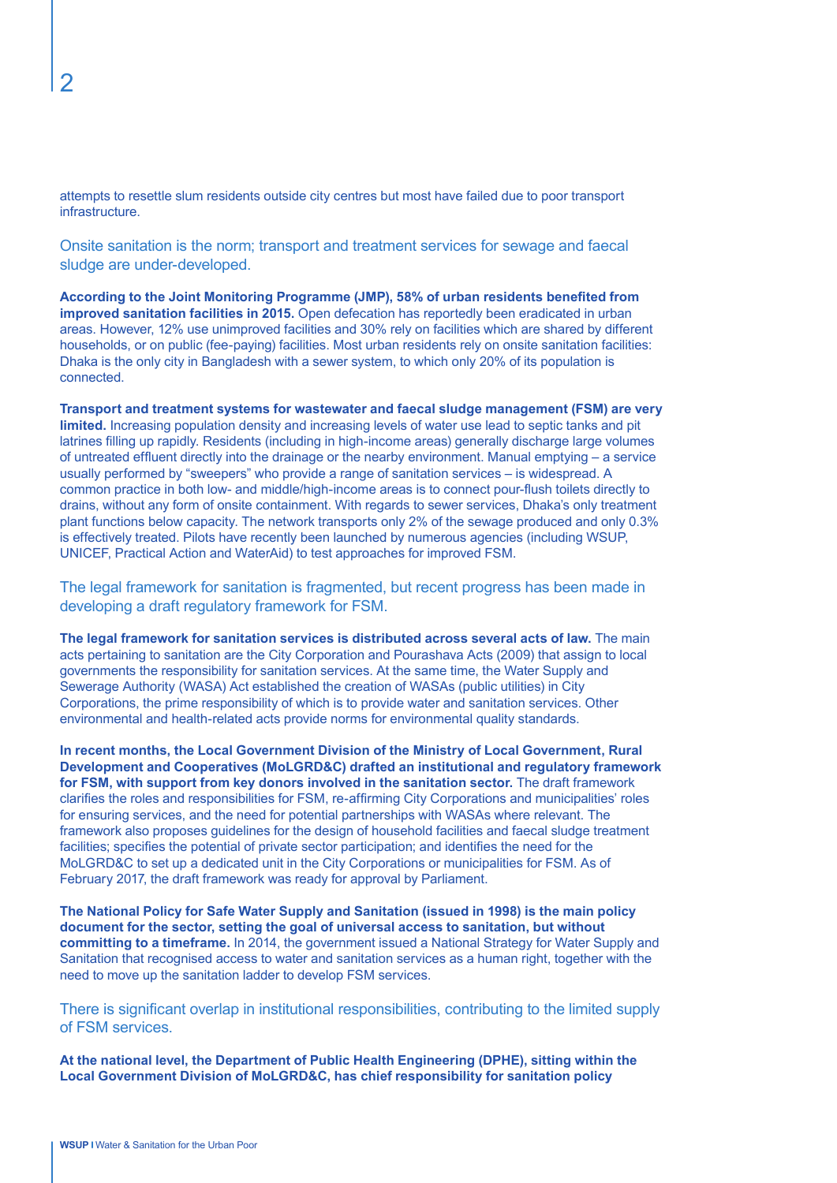attempts to resettle slum residents outside city centres but most have failed due to poor transport infrastructure.

Onsite sanitation is the norm; transport and treatment services for sewage and faecal sludge are under-developed.

**According to the Joint Monitoring Programme (JMP), 58% of urban residents benefited from improved sanitation facilities in 2015.** Open defecation has reportedly been eradicated in urban areas. However, 12% use unimproved facilities and 30% rely on facilities which are shared by different households, or on public (fee-paying) facilities. Most urban residents rely on onsite sanitation facilities: Dhaka is the only city in Bangladesh with a sewer system, to which only 20% of its population is connected.

**Transport and treatment systems for wastewater and faecal sludge management (FSM) are very limited.** Increasing population density and increasing levels of water use lead to septic tanks and pit latrines filling up rapidly. Residents (including in high-income areas) generally discharge large volumes of untreated effluent directly into the drainage or the nearby environment. Manual emptying – a service usually performed by "sweepers" who provide a range of sanitation services – is widespread. A common practice in both low- and middle/high-income areas is to connect pour-flush toilets directly to drains, without any form of onsite containment. With regards to sewer services, Dhaka's only treatment plant functions below capacity. The network transports only 2% of the sewage produced and only 0.3% is effectively treated. Pilots have recently been launched by numerous agencies (including WSUP, UNICEF, Practical Action and WaterAid) to test approaches for improved FSM.

The legal framework for sanitation is fragmented, but recent progress has been made in developing a draft regulatory framework for FSM.

**The legal framework for sanitation services is distributed across several acts of law.** The main acts pertaining to sanitation are the City Corporation and Pourashava Acts (2009) that assign to local governments the responsibility for sanitation services. At the same time, the Water Supply and Sewerage Authority (WASA) Act established the creation of WASAs (public utilities) in City Corporations, the prime responsibility of which is to provide water and sanitation services. Other environmental and health-related acts provide norms for environmental quality standards.

**In recent months, the Local Government Division of the Ministry of Local Government, Rural Development and Cooperatives (MoLGRD&C) drafted an institutional and regulatory framework for FSM, with support from key donors involved in the sanitation sector.** The draft framework clarifies the roles and responsibilities for FSM, re-affirming City Corporations and municipalities' roles for ensuring services, and the need for potential partnerships with WASAs where relevant. The framework also proposes guidelines for the design of household facilities and faecal sludge treatment facilities; specifies the potential of private sector participation; and identifies the need for the MoLGRD&C to set up a dedicated unit in the City Corporations or municipalities for FSM. As of February 2017, the draft framework was ready for approval by Parliament.

**The National Policy for Safe Water Supply and Sanitation (issued in 1998) is the main policy document for the sector, setting the goal of universal access to sanitation, but without committing to a timeframe.** In 2014, the government issued a National Strategy for Water Supply and Sanitation that recognised access to water and sanitation services as a human right, together with the need to move up the sanitation ladder to develop FSM services.

There is significant overlap in institutional responsibilities, contributing to the limited supply of FSM services.

**At the national level, the Department of Public Health Engineering (DPHE), sitting within the Local Government Division of MoLGRD&C, has chief responsibility for sanitation policy**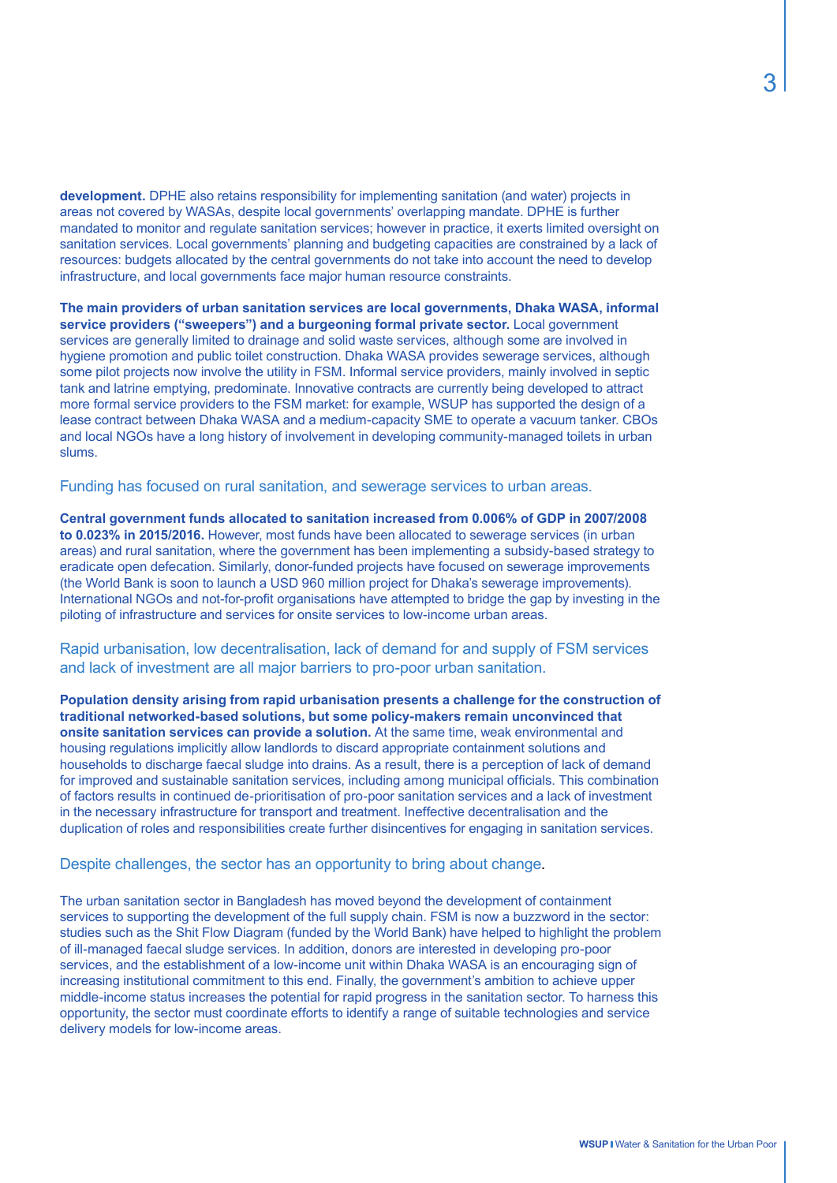**development.** DPHE also retains responsibility for implementing sanitation (and water) projects in areas not covered by WASAs, despite local governments' overlapping mandate. DPHE is further mandated to monitor and regulate sanitation services; however in practice, it exerts limited oversight on sanitation services. Local governments' planning and budgeting capacities are constrained by a lack of resources: budgets allocated by the central governments do not take into account the need to develop infrastructure, and local governments face major human resource constraints.

**The main providers of urban sanitation services are local governments, Dhaka WASA, informal service providers ("sweepers") and a burgeoning formal private sector.** Local government services are generally limited to drainage and solid waste services, although some are involved in hygiene promotion and public toilet construction. Dhaka WASA provides sewerage services, although some pilot projects now involve the utility in FSM. Informal service providers, mainly involved in septic tank and latrine emptying, predominate. Innovative contracts are currently being developed to attract more formal service providers to the FSM market: for example, WSUP has supported the design of a lease contract between Dhaka WASA and a medium-capacity SME to operate a vacuum tanker. CBOs and local NGOs have a long history of involvement in developing community-managed toilets in urban slums.

Funding has focused on rural sanitation, and sewerage services to urban areas.

**Central government funds allocated to sanitation increased from 0.006% of GDP in 2007/2008 to 0.023% in 2015/2016.** However, most funds have been allocated to sewerage services (in urban areas) and rural sanitation, where the government has been implementing a subsidy-based strategy to eradicate open defecation. Similarly, donor-funded projects have focused on sewerage improvements (the World Bank is soon to launch a USD 960 million project for Dhaka's sewerage improvements). International NGOs and not-for-profit organisations have attempted to bridge the gap by investing in the piloting of infrastructure and services for onsite services to low-income urban areas.

Rapid urbanisation, low decentralisation, lack of demand for and supply of FSM services and lack of investment are all major barriers to pro-poor urban sanitation.

**Population density arising from rapid urbanisation presents a challenge for the construction of traditional networked-based solutions, but some policy-makers remain unconvinced that onsite sanitation services can provide a solution.** At the same time, weak environmental and housing regulations implicitly allow landlords to discard appropriate containment solutions and households to discharge faecal sludge into drains. As a result, there is a perception of lack of demand for improved and sustainable sanitation services, including among municipal officials. This combination of factors results in continued de-prioritisation of pro-poor sanitation services and a lack of investment in the necessary infrastructure for transport and treatment. Ineffective decentralisation and the duplication of roles and responsibilities create further disincentives for engaging in sanitation services.

Despite challenges, the sector has an opportunity to bring about change.

The urban sanitation sector in Bangladesh has moved beyond the development of containment services to supporting the development of the full supply chain. FSM is now a buzzword in the sector: studies such as the Shit Flow Diagram (funded by the World Bank) have helped to highlight the problem of ill-managed faecal sludge services. In addition, donors are interested in developing pro-poor services, and the establishment of a low-income unit within Dhaka WASA is an encouraging sign of increasing institutional commitment to this end. Finally, the government's ambition to achieve upper middle-income status increases the potential for rapid progress in the sanitation sector. To harness this opportunity, the sector must coordinate efforts to identify a range of suitable technologies and service delivery models for low-income areas.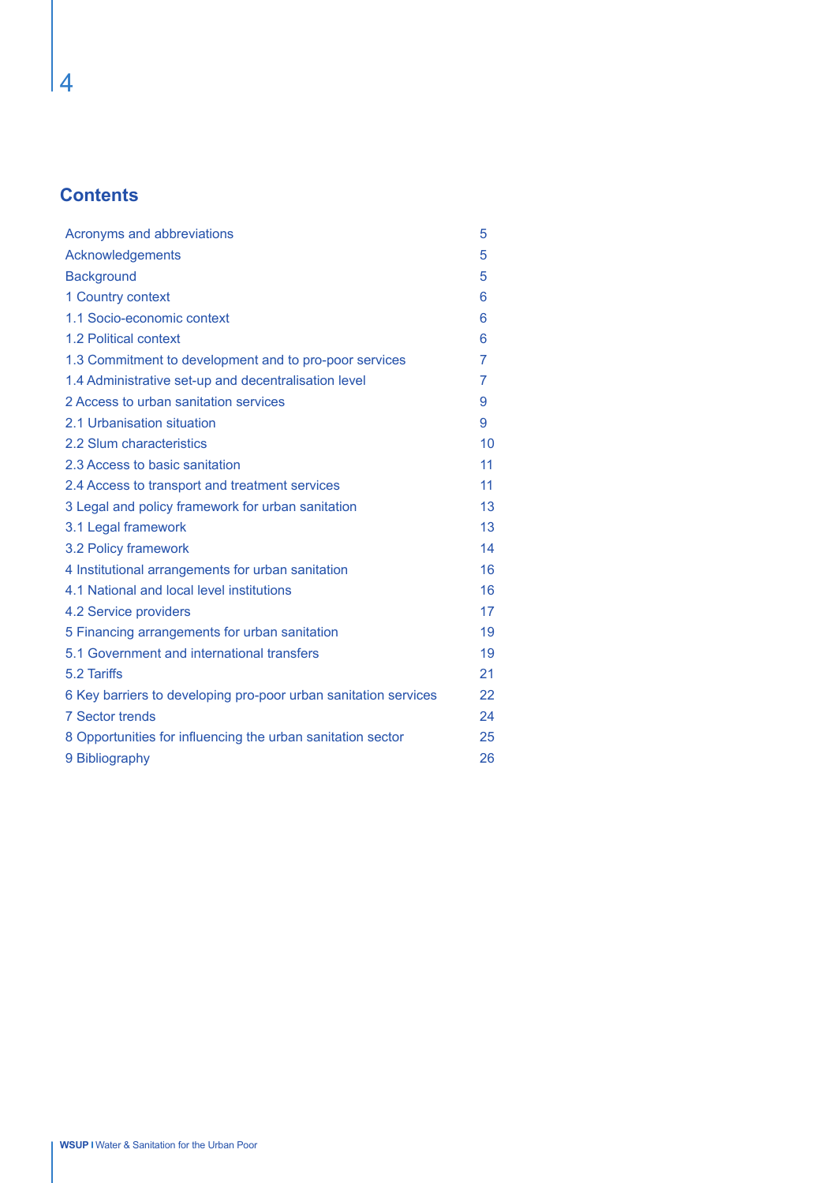# **Contents**

| Acronyms and abbreviations                                      | 5  |
|-----------------------------------------------------------------|----|
| Acknowledgements                                                | 5  |
| <b>Background</b>                                               | 5  |
| 1 Country context                                               | 6  |
| 1.1 Socio-economic context                                      | 6  |
| 1.2 Political context                                           | 6  |
| 1.3 Commitment to development and to pro-poor services          | 7  |
| 1.4 Administrative set-up and decentralisation level            | 7  |
| 2 Access to urban sanitation services                           | 9  |
| 2.1 Urbanisation situation                                      | 9  |
| 2.2 Slum characteristics                                        | 10 |
| 2.3 Access to basic sanitation                                  | 11 |
| 2.4 Access to transport and treatment services                  | 11 |
| 3 Legal and policy framework for urban sanitation               | 13 |
| 3.1 Legal framework                                             | 13 |
| 3.2 Policy framework                                            | 14 |
| 4 Institutional arrangements for urban sanitation               | 16 |
| 4.1 National and local level institutions                       | 16 |
| 4.2 Service providers                                           | 17 |
| 5 Financing arrangements for urban sanitation                   | 19 |
| 5.1 Government and international transfers                      | 19 |
| 5.2 Tariffs                                                     | 21 |
| 6 Key barriers to developing pro-poor urban sanitation services | 22 |
| <b>7 Sector trends</b>                                          | 24 |
| 8 Opportunities for influencing the urban sanitation sector     | 25 |
| 9 Bibliography                                                  | 26 |

4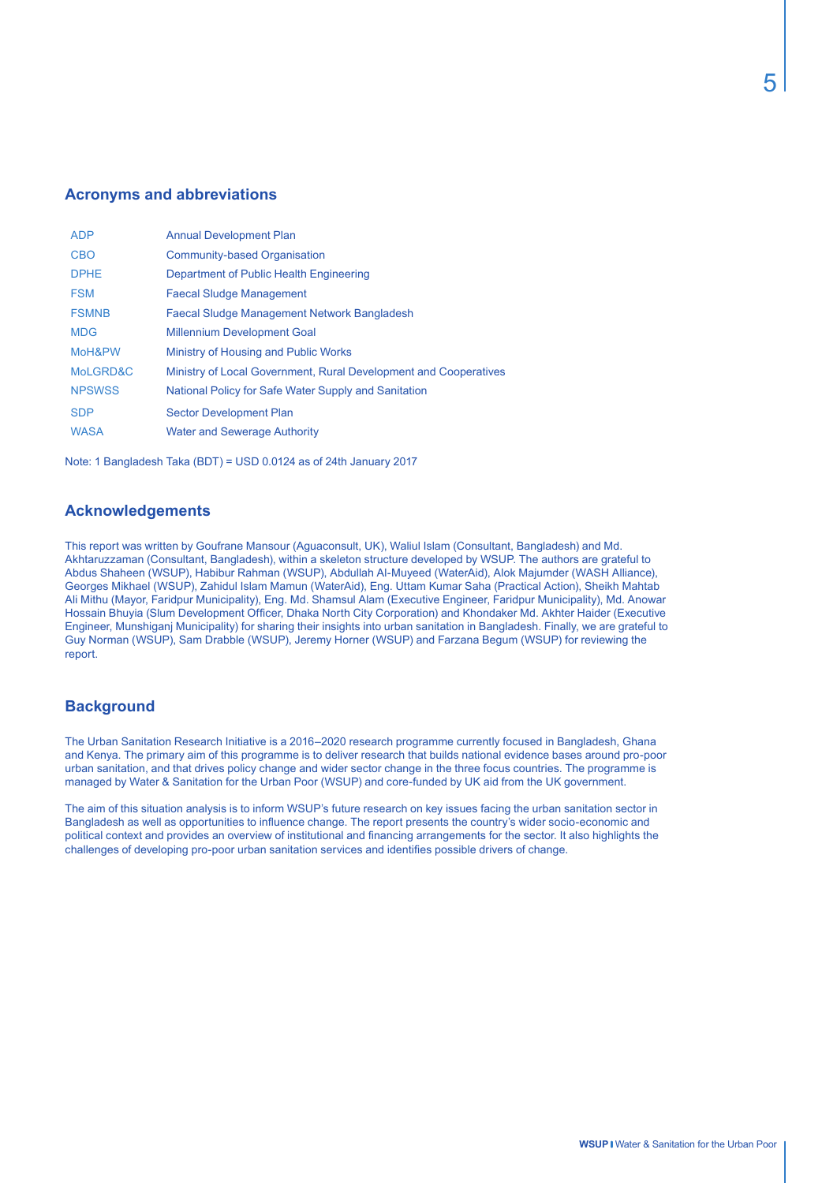#### **Acronyms and abbreviations**

| <b>ADP</b>    | <b>Annual Development Plan</b>                                   |
|---------------|------------------------------------------------------------------|
| <b>CBO</b>    | <b>Community-based Organisation</b>                              |
| <b>DPHE</b>   | Department of Public Health Engineering                          |
| <b>FSM</b>    | <b>Faecal Sludge Management</b>                                  |
| <b>FSMNB</b>  | <b>Faecal Sludge Management Network Bangladesh</b>               |
| <b>MDG</b>    | <b>Millennium Development Goal</b>                               |
| MoH&PW        | Ministry of Housing and Public Works                             |
| MoLGRD&C      | Ministry of Local Government, Rural Development and Cooperatives |
| <b>NPSWSS</b> | National Policy for Safe Water Supply and Sanitation             |
| <b>SDP</b>    | <b>Sector Development Plan</b>                                   |
| <b>WASA</b>   | <b>Water and Sewerage Authority</b>                              |
|               |                                                                  |

Note: 1 Bangladesh Taka (BDT) = USD 0.0124 as of 24th January 2017

#### **Acknowledgements**

This report was written by Goufrane Mansour (Aguaconsult, UK), Waliul Islam (Consultant, Bangladesh) and Md. Akhtaruzzaman (Consultant, Bangladesh), within a skeleton structure developed by WSUP. The authors are grateful to Abdus Shaheen (WSUP), Habibur Rahman (WSUP), Abdullah Al-Muyeed (WaterAid), Alok Majumder (WASH Alliance), Georges Mikhael (WSUP), Zahidul Islam Mamun (WaterAid), Eng. Uttam Kumar Saha (Practical Action), Sheikh Mahtab Ali Mithu (Mayor, Faridpur Municipality), Eng. Md. Shamsul Alam (Executive Engineer, Faridpur Municipality), Md. Anowar Hossain Bhuyia (Slum Development Officer, Dhaka North City Corporation) and Khondaker Md. Akhter Haider (Executive Engineer, Munshiganj Municipality) for sharing their insights into urban sanitation in Bangladesh. Finally, we are grateful to Guy Norman (WSUP), Sam Drabble (WSUP), Jeremy Horner (WSUP) and Farzana Begum (WSUP) for reviewing the report.

### **Background**

The Urban Sanitation Research Initiative is a 2016–2020 research programme currently focused in Bangladesh, Ghana and Kenya. The primary aim of this programme is to deliver research that builds national evidence bases around pro-poor urban sanitation, and that drives policy change and wider sector change in the three focus countries. The programme is managed by Water & Sanitation for the Urban Poor (WSUP) and core-funded by UK aid from the UK government.

The aim of this situation analysis is to inform WSUP's future research on key issues facing the urban sanitation sector in Bangladesh as well as opportunities to influence change. The report presents the country's wider socio-economic and political context and provides an overview of institutional and financing arrangements for the sector. It also highlights the challenges of developing pro-poor urban sanitation services and identifies possible drivers of change.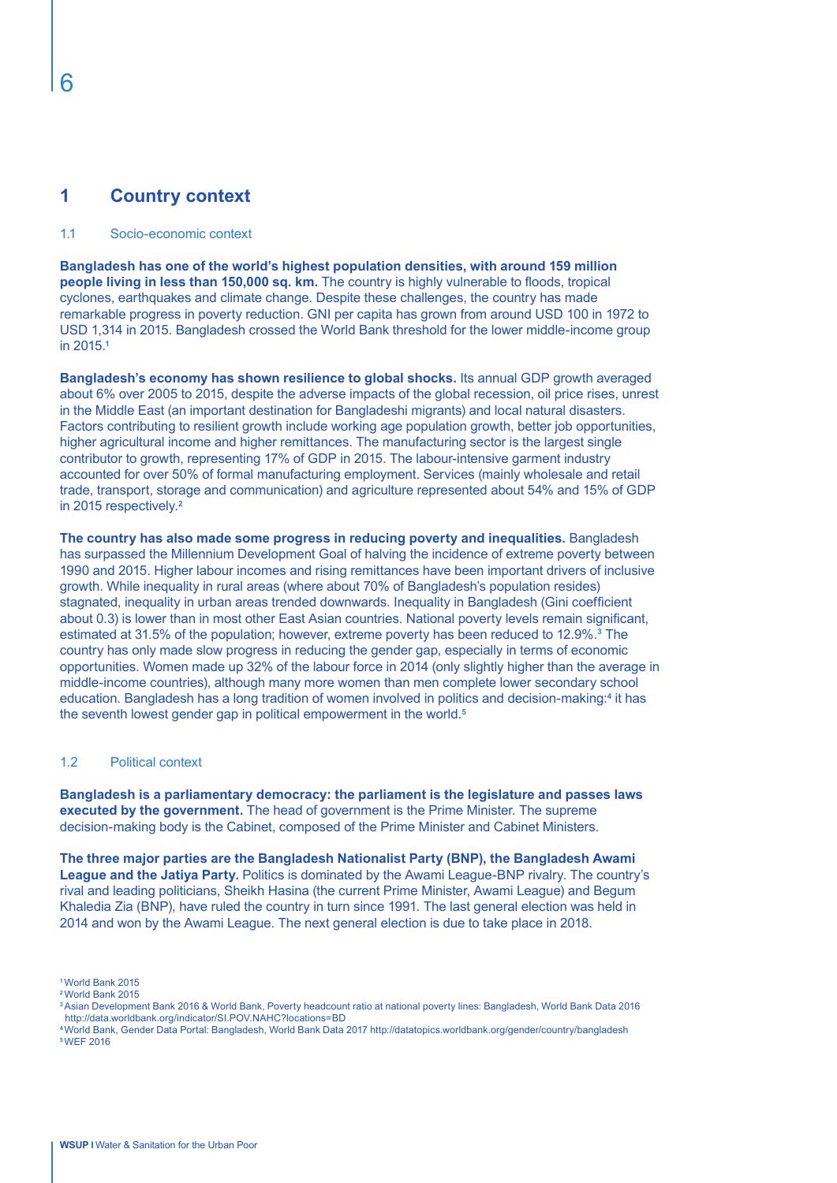# **1 Country context**

#### 1.1 Socio-economic context

**Bangladesh has one of the world's highest population densities, with around 159 million people living in less than 150,000 sq. km.** The country is highly vulnerable to floods, tropical cyclones, earthquakes and climate change. Despite these challenges, the country has made remarkable progress in poverty reduction. GNI per capita has grown from around USD 100 in 1972 to USD 1,314 in 2015. Bangladesh crossed the World Bank threshold for the lower middle-income group in 2015.**<sup>1</sup>**

**Bangladesh's economy has shown resilience to global shocks.** Its annual GDP growth averaged about 6% over 2005 to 2015, despite the adverse impacts of the global recession, oil price rises, unrest in the Middle East (an important destination for Bangladeshi migrants) and local natural disasters. Factors contributing to resilient growth include working age population growth, better job opportunities, higher agricultural income and higher remittances. The manufacturing sector is the largest single contributor to growth, representing 17% of GDP in 2015. The labour-intensive garment industry accounted for over 50% of formal manufacturing employment. Services (mainly wholesale and retail trade, transport, storage and communication) and agriculture represented about 54% and 15% of GDP in 2015 respectively.**<sup>2</sup>**

**The country has also made some progress in reducing poverty and inequalities.** Bangladesh has surpassed the Millennium Development Goal of halving the incidence of extreme poverty between 1990 and 2015. Higher labour incomes and rising remittances have been important drivers of inclusive growth. While inequality in rural areas (where about 70% of Bangladesh's population resides) stagnated, inequality in urban areas trended downwards. Inequality in Bangladesh (Gini coefficient about 0.3) is lower than in most other East Asian countries. National poverty levels remain significant, estimated at 31.5% of the population; however, extreme poverty has been reduced to 12.9%.**<sup>3</sup>** The country has only made slow progress in reducing the gender gap, especially in terms of economic opportunities. Women made up 32% of the labour force in 2014 (only slightly higher than the average in middle-income countries), although many more women than men complete lower secondary school education. Bangladesh has a long tradition of women involved in politics and decision-making:<sup>4</sup> it has the seventh lowest gender gap in political empowerment in the world.**<sup>5</sup>**

#### 1.2 Political context

**Bangladesh is a parliamentary democracy: the parliament is the legislature and passes laws executed by the government.** The head of government is the Prime Minister. The supreme decision-making body is the Cabinet, composed of the Prime Minister and Cabinet Ministers.

**The three major parties are the Bangladesh Nationalist Party (BNP), the Bangladesh Awami League and the Jatiya Party.** Politics is dominated by the Awami League-BNP rivalry. The country's rival and leading politicians, Sheikh Hasina (the current Prime Minister, Awami League) and Begum Khaledia Zia (BNP), have ruled the country in turn since 1991. The last general election was held in 2014 and won by the Awami League. The next general election is due to take place in 2018.

**<sup>1</sup>**World Bank 2015

**<sup>2</sup>**World Bank 2015

**<sup>3</sup>**Asian Development Bank 2016 & World Bank, Poverty headcount ratio at national poverty lines: Bangladesh, World Bank Data 2016 http://data.worldbank.org/indicator/SI.POV.NAHC?locations=BD

**<sup>4</sup>**World Bank, Gender Data Portal: Bangladesh, World Bank Data 2017 http://datatopics.worldbank.org/gender/country/bangladesh **5** WEF 2016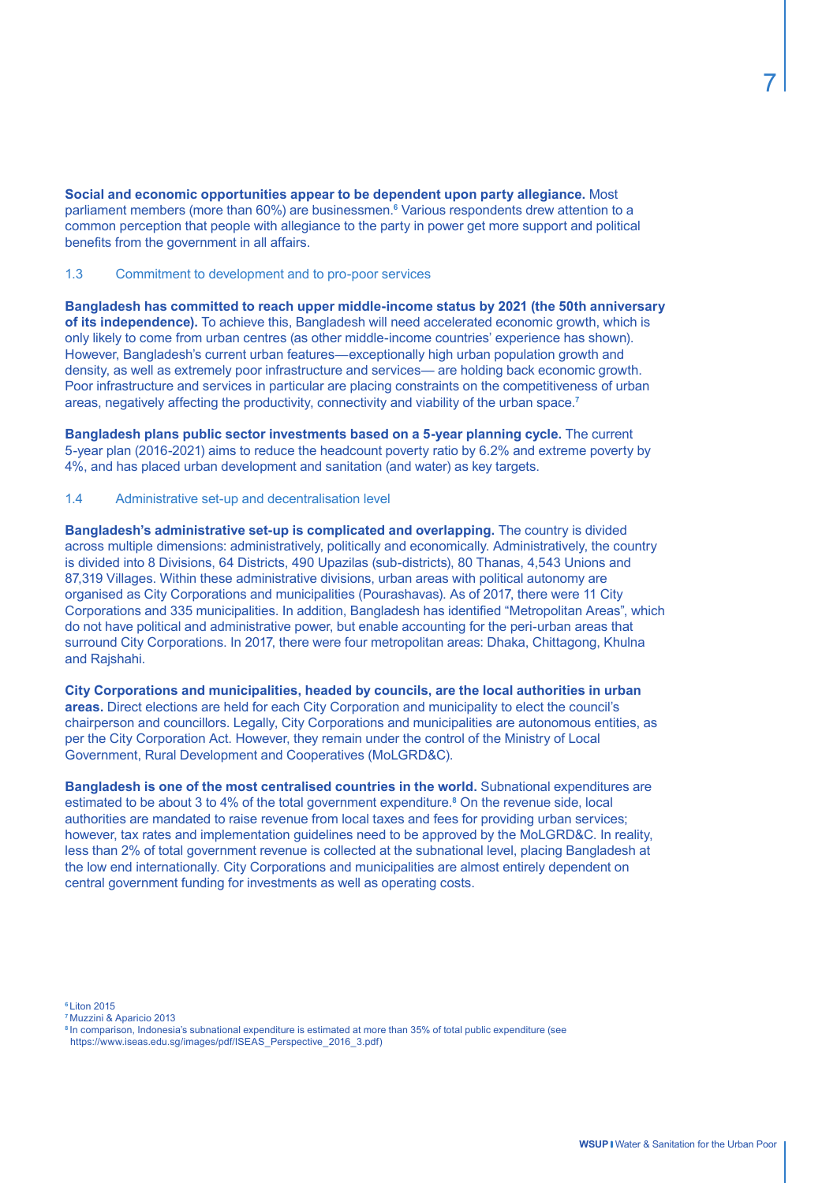**Social and economic opportunities appear to be dependent upon party allegiance.** Most parliament members (more than 60%) are businessmen.**<sup>6</sup>** Various respondents drew attention to a common perception that people with allegiance to the party in power get more support and political benefits from the government in all affairs.

#### 1.3 Commitment to development and to pro-poor services

**Bangladesh has committed to reach upper middle-income status by 2021 (the 50th anniversary of its independence).** To achieve this, Bangladesh will need accelerated economic growth, which is only likely to come from urban centres (as other middle-income countries' experience has shown). However, Bangladesh's current urban features—exceptionally high urban population growth and density, as well as extremely poor infrastructure and services— are holding back economic growth. Poor infrastructure and services in particular are placing constraints on the competitiveness of urban areas, negatively affecting the productivity, connectivity and viability of the urban space.**<sup>7</sup>**

**Bangladesh plans public sector investments based on a 5-year planning cycle.** The current 5-year plan (2016-2021) aims to reduce the headcount poverty ratio by 6.2% and extreme poverty by 4%, and has placed urban development and sanitation (and water) as key targets.

1.4 Administrative set-up and decentralisation level

**Bangladesh's administrative set-up is complicated and overlapping.** The country is divided across multiple dimensions: administratively, politically and economically. Administratively, the country is divided into 8 Divisions, 64 Districts, 490 Upazilas (sub-districts), 80 Thanas, 4,543 Unions and 87,319 Villages. Within these administrative divisions, urban areas with political autonomy are organised as City Corporations and municipalities (Pourashavas). As of 2017, there were 11 City Corporations and 335 municipalities. In addition, Bangladesh has identified "Metropolitan Areas", which do not have political and administrative power, but enable accounting for the peri-urban areas that surround City Corporations. In 2017, there were four metropolitan areas: Dhaka, Chittagong, Khulna and Rajshahi.

**City Corporations and municipalities, headed by councils, are the local authorities in urban areas.** Direct elections are held for each City Corporation and municipality to elect the council's chairperson and councillors. Legally, City Corporations and municipalities are autonomous entities, as per the City Corporation Act. However, they remain under the control of the Ministry of Local Government, Rural Development and Cooperatives (MoLGRD&C).

**Bangladesh is one of the most centralised countries in the world.** Subnational expenditures are estimated to be about 3 to 4% of the total government expenditure.**<sup>8</sup>** On the revenue side, local authorities are mandated to raise revenue from local taxes and fees for providing urban services; however, tax rates and implementation guidelines need to be approved by the MoLGRD&C. In reality, less than 2% of total government revenue is collected at the subnational level, placing Bangladesh at the low end internationally. City Corporations and municipalities are almost entirely dependent on central government funding for investments as well as operating costs.

**<sup>6</sup>**Liton 2015

**<sup>7</sup>**Muzzini & Aparicio 2013

**<sup>8</sup>**In comparison, Indonesia's subnational expenditure is estimated at more than 35% of total public expenditure (see https://www.iseas.edu.sg/images/pdf/ISEAS\_Perspective\_2016\_3.pdf)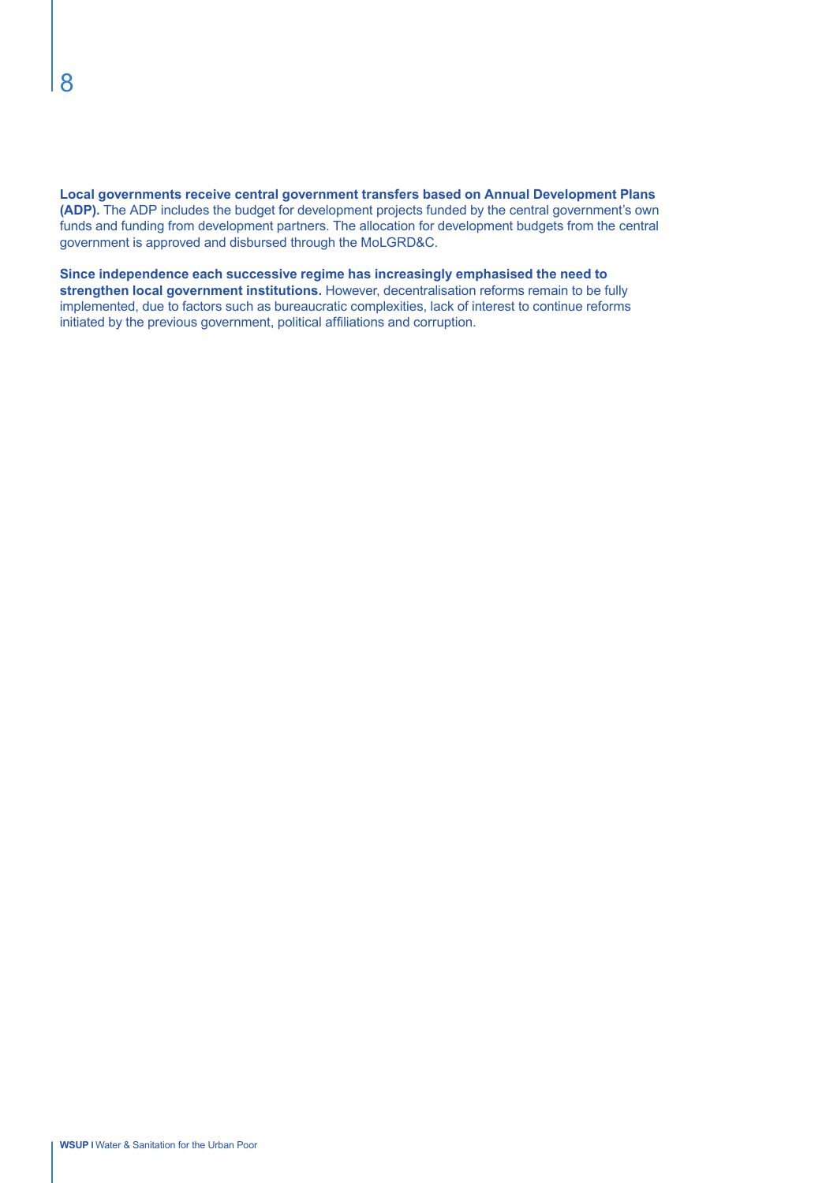**Local governments receive central government transfers based on Annual Development Plans (ADP).** The ADP includes the budget for development projects funded by the central government's own funds and funding from development partners. The allocation for development budgets from the central government is approved and disbursed through the MoLGRD&C.

**Since independence each successive regime has increasingly emphasised the need to strengthen local government institutions.** However, decentralisation reforms remain to be fully implemented, due to factors such as bureaucratic complexities, lack of interest to continue reforms initiated by the previous government, political affiliations and corruption.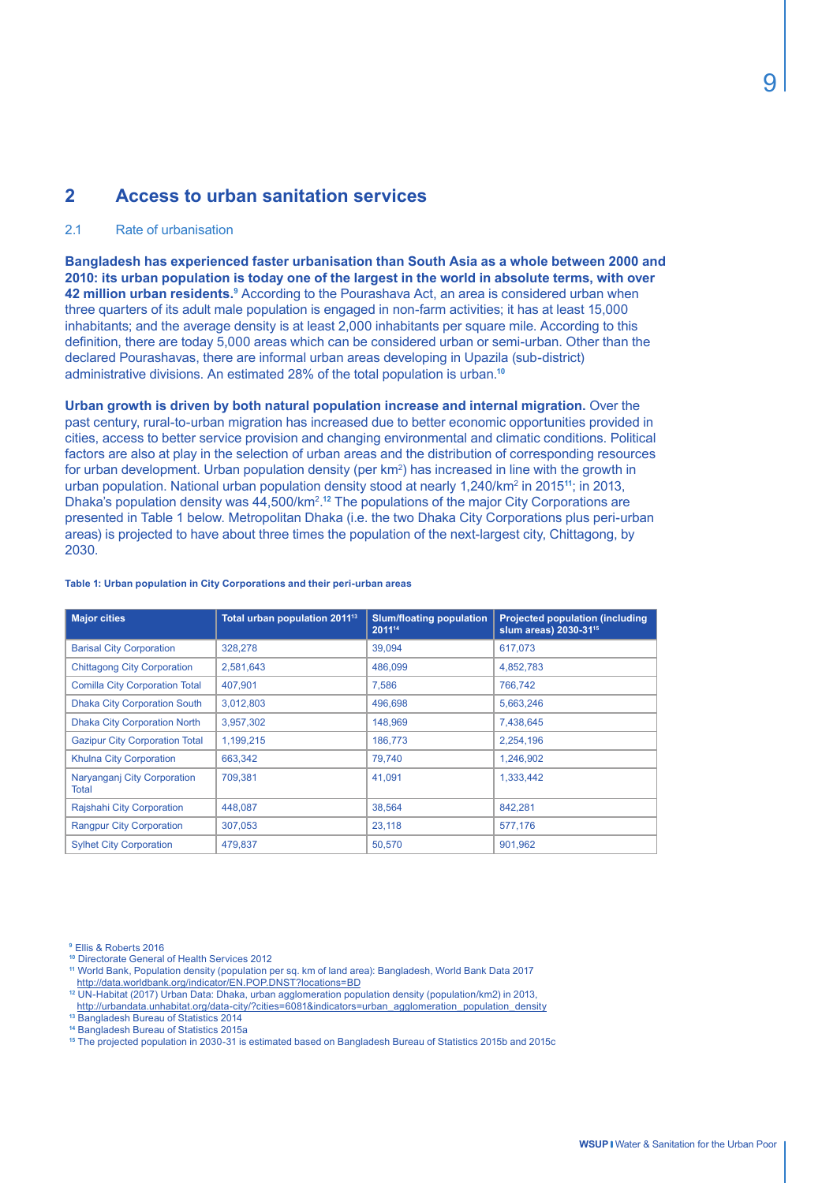# **2 Access to urban sanitation services**

#### 2.1 Rate of urbanisation

**Bangladesh has experienced faster urbanisation than South Asia as a whole between 2000 and 2010: its urban population is today one of the largest in the world in absolute terms, with over 42 million urban residents.**<sup>9</sup> According to the Pourashava Act, an area is considered urban when three quarters of its adult male population is engaged in non-farm activities; it has at least 15,000 inhabitants; and the average density is at least 2,000 inhabitants per square mile. According to this definition, there are today 5,000 areas which can be considered urban or semi-urban. Other than the declared Pourashavas, there are informal urban areas developing in Upazila (sub-district) administrative divisions. An estimated 28% of the total population is urban.**<sup>10</sup>**

**Urban growth is driven by both natural population increase and internal migration.** Over the past century, rural-to-urban migration has increased due to better economic opportunities provided in cities, access to better service provision and changing environmental and climatic conditions. Political factors are also at play in the selection of urban areas and the distribution of corresponding resources for urban development. Urban population density (per km<sup>2</sup>) has increased in line with the growth in urban population. National urban population density stood at nearly 1,240/km2 in 2015**<sup>11</sup>**; in 2013, Dhaka's population density was 44,500/km<sup>2</sup>.<sup>12</sup> The populations of the major City Corporations are presented in Table 1 below. Metropolitan Dhaka (i.e. the two Dhaka City Corporations plus peri-urban areas) is projected to have about three times the population of the next-largest city, Chittagong, by 2030.

| <b>Major cities</b>                   | Total urban population 2011 <sup>13</sup> | <b>Slum/floating population</b><br>201114 | <b>Projected population (including</b><br>slum areas) 2030-31 <sup>15</sup> |  |
|---------------------------------------|-------------------------------------------|-------------------------------------------|-----------------------------------------------------------------------------|--|
| <b>Barisal City Corporation</b>       | 328,278                                   | 39,094                                    | 617,073                                                                     |  |
| <b>Chittagong City Corporation</b>    | 2,581,643                                 | 486.099                                   | 4,852,783                                                                   |  |
| <b>Comilla City Corporation Total</b> | 407,901                                   | 7,586                                     | 766,742                                                                     |  |
| <b>Dhaka City Corporation South</b>   | 3,012,803                                 | 496,698                                   | 5,663,246                                                                   |  |
| <b>Dhaka City Corporation North</b>   | 3,957,302                                 | 148,969                                   | 7,438,645                                                                   |  |
| <b>Gazipur City Corporation Total</b> | 1,199,215                                 | 186,773                                   | 2,254,196                                                                   |  |
| Khulna City Corporation               | 663,342                                   | 79,740                                    | 1,246,902                                                                   |  |
| Naryanganj City Corporation<br>Total  | 709,381                                   | 41.091                                    | 1,333,442                                                                   |  |
| Rajshahi City Corporation             | 448.087                                   | 38.564                                    | 842.281                                                                     |  |
| <b>Rangpur City Corporation</b>       | 307,053                                   | 23,118                                    | 577,176                                                                     |  |
| <b>Sylhet City Corporation</b>        | 479,837                                   | 50,570                                    | 901,962                                                                     |  |

#### **Table 1: Urban population in City Corporations and their peri-urban areas**

**<sup>9</sup>**Ellis & Roberts 2016

- **<sup>10</sup>** Directorate General of Health Services 2012
- **<sup>11</sup>** World Bank, Population density (population per sq. km of land area): Bangladesh, World Bank Data 2017
- http://data.worldbank.org/indicator/EN.POP.DNST?locations=BD **<sup>12</sup>** UN-Habitat (2017) Urban Data: Dhaka, urban agglomeration population density (population/km2) in 2013,
- http://urbandata.unhabitat.org/data-city/?cities=6081&indicators=urban\_agglomeration\_population\_density
- **<sup>13</sup>** Bangladesh Bureau of Statistics 2014
- **<sup>14</sup>** Bangladesh Bureau of Statistics 2015a
- **15** The projected population in 2030-31 is estimated based on Bangladesh Bureau of Statistics 2015b and 2015c

9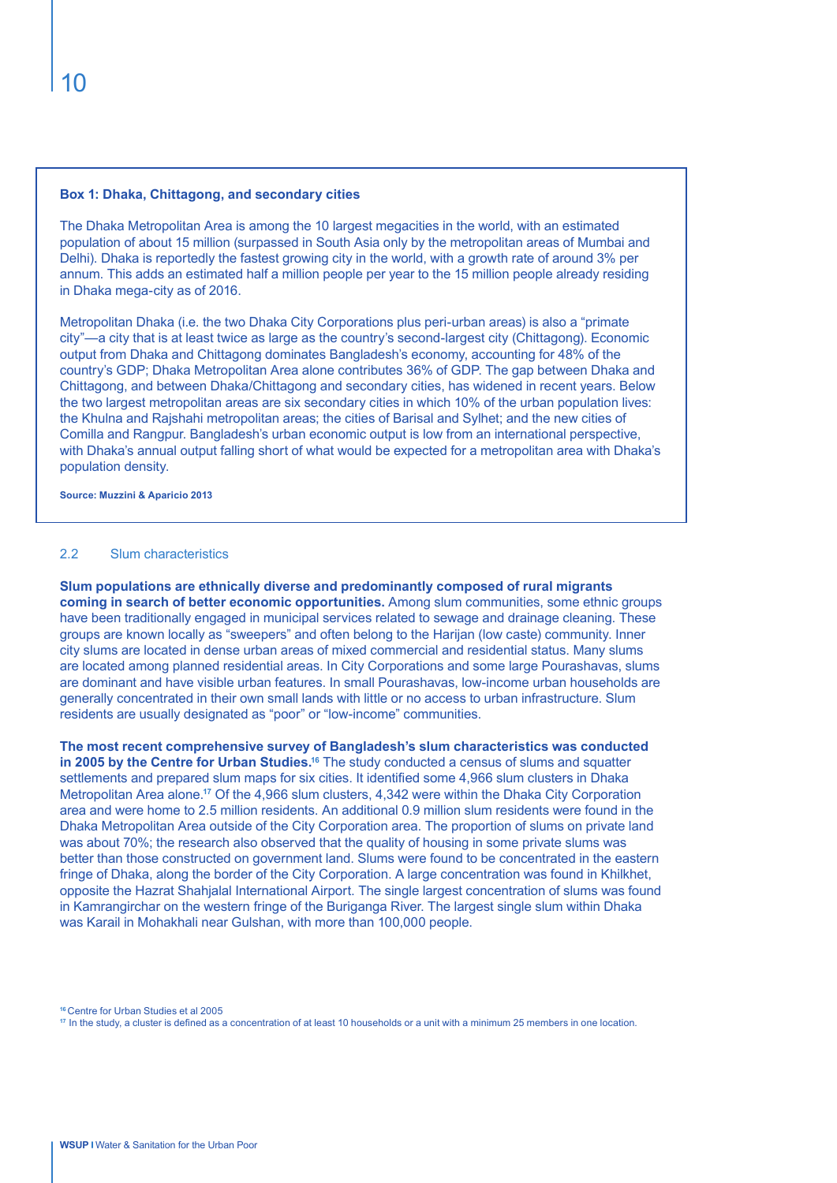#### **Box 1: Dhaka, Chittagong, and secondary cities**

The Dhaka Metropolitan Area is among the 10 largest megacities in the world, with an estimated population of about 15 million (surpassed in South Asia only by the metropolitan areas of Mumbai and Delhi). Dhaka is reportedly the fastest growing city in the world, with a growth rate of around 3% per annum. This adds an estimated half a million people per year to the 15 million people already residing in Dhaka mega-city as of 2016.

Metropolitan Dhaka (i.e. the two Dhaka City Corporations plus peri-urban areas) is also a "primate city"—a city that is at least twice as large as the country's second-largest city (Chittagong). Economic output from Dhaka and Chittagong dominates Bangladesh's economy, accounting for 48% of the country's GDP; Dhaka Metropolitan Area alone contributes 36% of GDP. The gap between Dhaka and Chittagong, and between Dhaka/Chittagong and secondary cities, has widened in recent years. Below the two largest metropolitan areas are six secondary cities in which 10% of the urban population lives: the Khulna and Rajshahi metropolitan areas; the cities of Barisal and Sylhet; and the new cities of Comilla and Rangpur. Bangladesh's urban economic output is low from an international perspective, with Dhaka's annual output falling short of what would be expected for a metropolitan area with Dhaka's population density.

**Source: Muzzini & Aparicio 2013**

#### 2.2 Slum characteristics

**Slum populations are ethnically diverse and predominantly composed of rural migrants coming in search of better economic opportunities.** Among slum communities, some ethnic groups have been traditionally engaged in municipal services related to sewage and drainage cleaning. These groups are known locally as "sweepers" and often belong to the Harijan (low caste) community. Inner city slums are located in dense urban areas of mixed commercial and residential status. Many slums are located among planned residential areas. In City Corporations and some large Pourashavas, slums are dominant and have visible urban features. In small Pourashavas, low-income urban households are generally concentrated in their own small lands with little or no access to urban infrastructure. Slum residents are usually designated as "poor" or "low-income" communities.

**The most recent comprehensive survey of Bangladesh's slum characteristics was conducted in 2005 by the Centre for Urban Studies.<sup>16</sup> The study conducted a census of slums and squatter** settlements and prepared slum maps for six cities. It identified some 4,966 slum clusters in Dhaka Metropolitan Area alone.**<sup>17</sup>** Of the 4,966 slum clusters, 4,342 were within the Dhaka City Corporation area and were home to 2.5 million residents. An additional 0.9 million slum residents were found in the Dhaka Metropolitan Area outside of the City Corporation area. The proportion of slums on private land was about 70%; the research also observed that the quality of housing in some private slums was better than those constructed on government land. Slums were found to be concentrated in the eastern fringe of Dhaka, along the border of the City Corporation. A large concentration was found in Khilkhet, opposite the Hazrat Shahjalal International Airport. The single largest concentration of slums was found in Kamrangirchar on the western fringe of the Buriganga River. The largest single slum within Dhaka was Karail in Mohakhali near Gulshan, with more than 100,000 people.

**<sup>16</sup>**Centre for Urban Studies et al 2005

**17** In the study, a cluster is defined as a concentration of at least 10 households or a unit with a minimum 25 members in one location.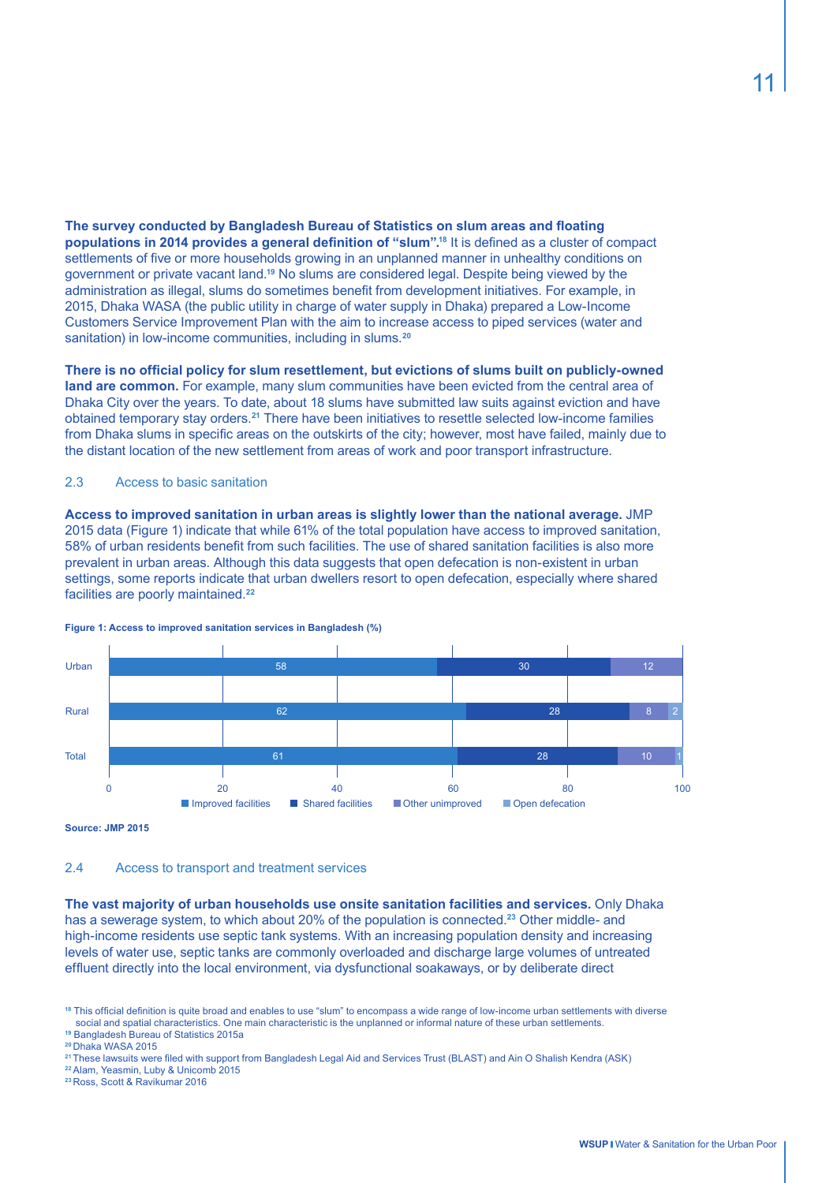**The survey conducted by Bangladesh Bureau of Statistics on slum areas and floating populations in 2014 provides a general definition of "slum".<sup>18</sup>** It is defined as a cluster of compact settlements of five or more households growing in an unplanned manner in unhealthy conditions on government or private vacant land.**<sup>19</sup>** No slums are considered legal. Despite being viewed by the administration as illegal, slums do sometimes benefit from development initiatives. For example, in 2015, Dhaka WASA (the public utility in charge of water supply in Dhaka) prepared a Low-Income Customers Service Improvement Plan with the aim to increase access to piped services (water and sanitation) in low-income communities, including in slums.**<sup>20</sup>**

**There is no official policy for slum resettlement, but evictions of slums built on publicly-owned land are common.** For example, many slum communities have been evicted from the central area of Dhaka City over the years. To date, about 18 slums have submitted law suits against eviction and have obtained temporary stay orders.**<sup>21</sup>** There have been initiatives to resettle selected low-income families from Dhaka slums in specific areas on the outskirts of the city; however, most have failed, mainly due to the distant location of the new settlement from areas of work and poor transport infrastructure.

#### 2.3 Access to basic sanitation

**Access to improved sanitation in urban areas is slightly lower than the national average.** JMP 2015 data (Figure 1) indicate that while 61% of the total population have access to improved sanitation, 58% of urban residents benefit from such facilities. The use of shared sanitation facilities is also more prevalent in urban areas. Although this data suggests that open defecation is non-existent in urban settings, some reports indicate that urban dwellers resort to open defecation, especially where shared facilities are poorly maintained.**<sup>22</sup>**



**Figure 1: Access to improved sanitation services in Bangladesh (%)**

**Source: JMP 2015**

2.4 Access to transport and treatment services

**The vast majority of urban households use onsite sanitation facilities and services.** Only Dhaka has a sewerage system, to which about 20% of the population is connected.**<sup>23</sup>** Other middle- and high-income residents use septic tank systems. With an increasing population density and increasing levels of water use, septic tanks are commonly overloaded and discharge large volumes of untreated effluent directly into the local environment, via dysfunctional soakaways, or by deliberate direct

**<sup>18</sup>** This official definition is quite broad and enables to use "slum" to encompass a wide range of low-income urban settlements with diverse social and spatial characteristics. One main characteristic is the unplanned or informal nature of these urban settlements.

**<sup>19</sup>** Bangladesh Bureau of Statistics 2015a

**<sup>20</sup>**Dhaka WASA 2015

**<sup>21</sup>**These lawsuits were filed with support from Bangladesh Legal Aid and Services Trust (BLAST) and Ain O Shalish Kendra (ASK)

**<sup>22</sup>**Alam, Yeasmin, Luby & Unicomb 2015

**<sup>23</sup>**Ross, Scott & Ravikumar 2016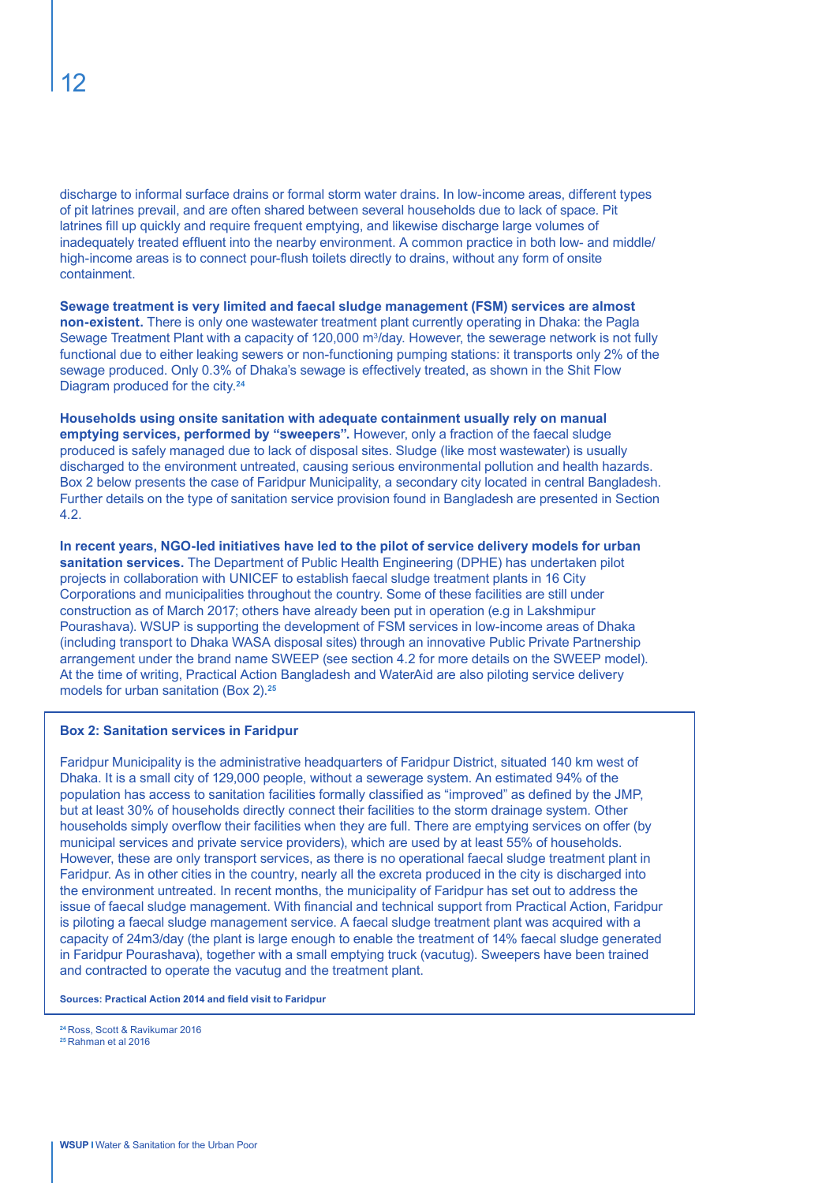discharge to informal surface drains or formal storm water drains. In low-income areas, different types of pit latrines prevail, and are often shared between several households due to lack of space. Pit latrines fill up quickly and require frequent emptying, and likewise discharge large volumes of inadequately treated effluent into the nearby environment. A common practice in both low- and middle/ high-income areas is to connect pour-flush toilets directly to drains, without any form of onsite containment.

**Sewage treatment is very limited and faecal sludge management (FSM) services are almost non-existent.** There is only one wastewater treatment plant currently operating in Dhaka: the Pagla Sewage Treatment Plant with a capacity of 120,000 m<sup>3</sup>/day. However, the sewerage network is not fully functional due to either leaking sewers or non-functioning pumping stations: it transports only 2% of the sewage produced. Only 0.3% of Dhaka's sewage is effectively treated, as shown in the Shit Flow Diagram produced for the city.**<sup>24</sup>**

**Households using onsite sanitation with adequate containment usually rely on manual emptying services, performed by "sweepers".** However, only a fraction of the faecal sludge produced is safely managed due to lack of disposal sites. Sludge (like most wastewater) is usually discharged to the environment untreated, causing serious environmental pollution and health hazards. Box 2 below presents the case of Faridpur Municipality, a secondary city located in central Bangladesh. Further details on the type of sanitation service provision found in Bangladesh are presented in Section 4.2.

**In recent years, NGO-led initiatives have led to the pilot of service delivery models for urban sanitation services.** The Department of Public Health Engineering (DPHE) has undertaken pilot projects in collaboration with UNICEF to establish faecal sludge treatment plants in 16 City Corporations and municipalities throughout the country. Some of these facilities are still under construction as of March 2017; others have already been put in operation (e.g in Lakshmipur Pourashava). WSUP is supporting the development of FSM services in low-income areas of Dhaka (including transport to Dhaka WASA disposal sites) through an innovative Public Private Partnership arrangement under the brand name SWEEP (see section 4.2 for more details on the SWEEP model). At the time of writing, Practical Action Bangladesh and WaterAid are also piloting service delivery models for urban sanitation (Box 2).**<sup>25</sup>**

#### **Box 2: Sanitation services in Faridpur**

Faridpur Municipality is the administrative headquarters of Faridpur District, situated 140 km west of Dhaka. It is a small city of 129,000 people, without a sewerage system. An estimated 94% of the population has access to sanitation facilities formally classified as "improved" as defined by the JMP, but at least 30% of households directly connect their facilities to the storm drainage system. Other households simply overflow their facilities when they are full. There are emptying services on offer (by municipal services and private service providers), which are used by at least 55% of households. However, these are only transport services, as there is no operational faecal sludge treatment plant in Faridpur. As in other cities in the country, nearly all the excreta produced in the city is discharged into the environment untreated. In recent months, the municipality of Faridpur has set out to address the issue of faecal sludge management. With financial and technical support from Practical Action, Faridpur is piloting a faecal sludge management service. A faecal sludge treatment plant was acquired with a capacity of 24m3/day (the plant is large enough to enable the treatment of 14% faecal sludge generated in Faridpur Pourashava), together with a small emptying truck (vacutug). Sweepers have been trained and contracted to operate the vacutug and the treatment plant.

**Sources: Practical Action 2014 and field visit to Faridpur**

**<sup>24</sup>**Ross, Scott & Ravikumar 2016 **25** Rahman et al 2016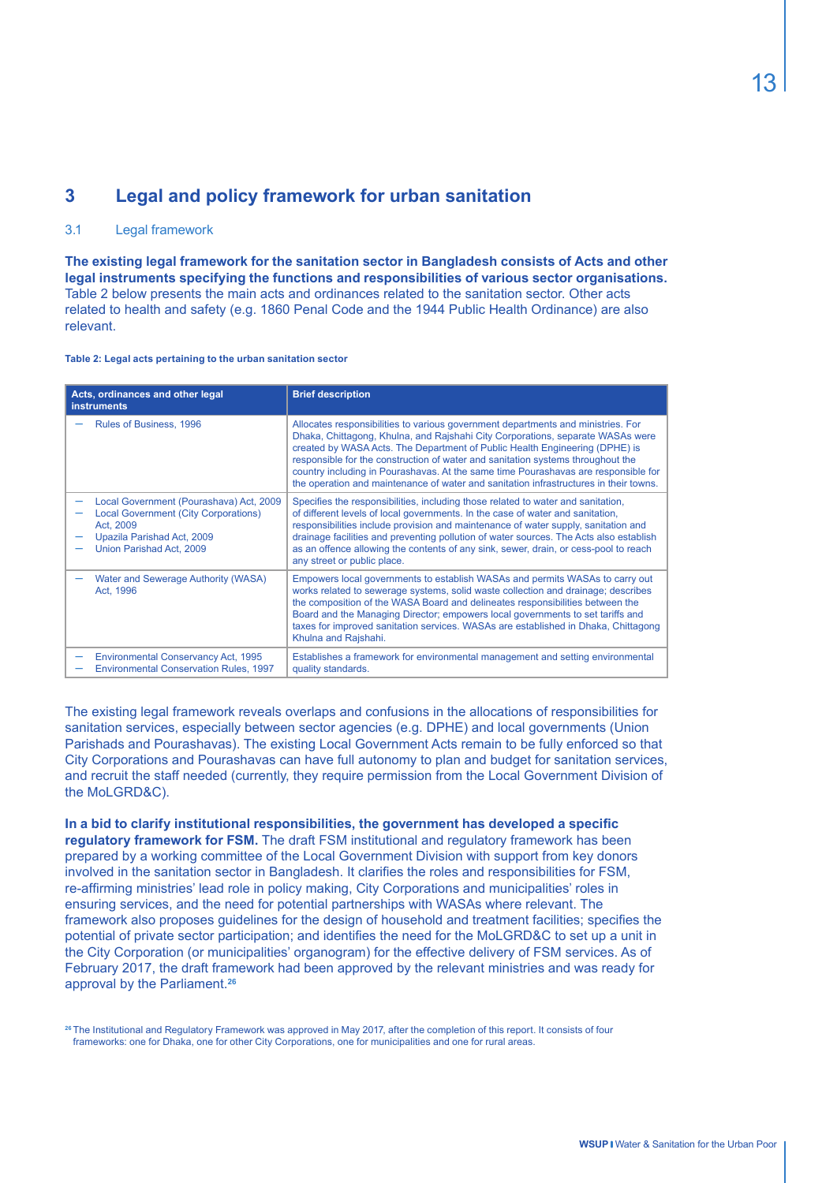# **3 Legal and policy framework for urban sanitation**

#### 3.1 Legal framework

**The existing legal framework for the sanitation sector in Bangladesh consists of Acts and other legal instruments specifying the functions and responsibilities of various sector organisations.**  Table 2 below presents the main acts and ordinances related to the sanitation sector. Other acts related to health and safety (e.g. 1860 Penal Code and the 1944 Public Health Ordinance) are also relevant.

#### **Table 2: Legal acts pertaining to the urban sanitation sector**

| Acts, ordinances and other legal<br><b>instruments</b>                                                                                                        | <b>Brief description</b>                                                                                                                                                                                                                                                                                                                                                                                                                                                                                            |  |  |
|---------------------------------------------------------------------------------------------------------------------------------------------------------------|---------------------------------------------------------------------------------------------------------------------------------------------------------------------------------------------------------------------------------------------------------------------------------------------------------------------------------------------------------------------------------------------------------------------------------------------------------------------------------------------------------------------|--|--|
| Rules of Business, 1996                                                                                                                                       | Allocates responsibilities to various government departments and ministries. For<br>Dhaka, Chittagong, Khulna, and Rajshahi City Corporations, separate WASAs were<br>created by WASA Acts. The Department of Public Health Engineering (DPHE) is<br>responsible for the construction of water and sanitation systems throughout the<br>country including in Pourashavas. At the same time Pourashavas are responsible for<br>the operation and maintenance of water and sanitation infrastructures in their towns. |  |  |
| Local Government (Pourashava) Act, 2009<br><b>Local Government (City Corporations)</b><br>Act, 2009<br>Upazila Parishad Act, 2009<br>Union Parishad Act, 2009 | Specifies the responsibilities, including those related to water and sanitation,<br>of different levels of local governments. In the case of water and sanitation,<br>responsibilities include provision and maintenance of water supply, sanitation and<br>drainage facilities and preventing pollution of water sources. The Acts also establish<br>as an offence allowing the contents of any sink, sewer, drain, or cess-pool to reach<br>any street or public place.                                           |  |  |
| Water and Sewerage Authority (WASA)<br>Act. 1996                                                                                                              | Empowers local governments to establish WASAs and permits WASAs to carry out<br>works related to sewerage systems, solid waste collection and drainage; describes<br>the composition of the WASA Board and delineates responsibilities between the<br>Board and the Managing Director; empowers local governments to set tariffs and<br>taxes for improved sanitation services. WASAs are established in Dhaka, Chittagong<br>Khulna and Rajshahi.                                                                  |  |  |
| Environmental Conservancy Act, 1995<br><b>Environmental Conservation Rules, 1997</b>                                                                          | Establishes a framework for environmental management and setting environmental<br>quality standards.                                                                                                                                                                                                                                                                                                                                                                                                                |  |  |

The existing legal framework reveals overlaps and confusions in the allocations of responsibilities for sanitation services, especially between sector agencies (e.g. DPHE) and local governments (Union Parishads and Pourashavas). The existing Local Government Acts remain to be fully enforced so that City Corporations and Pourashavas can have full autonomy to plan and budget for sanitation services, and recruit the staff needed (currently, they require permission from the Local Government Division of the MoLGRD&C).

**In a bid to clarify institutional responsibilities, the government has developed a specific regulatory framework for FSM.** The draft FSM institutional and regulatory framework has been prepared by a working committee of the Local Government Division with support from key donors involved in the sanitation sector in Bangladesh. It clarifies the roles and responsibilities for FSM, re-affirming ministries' lead role in policy making, City Corporations and municipalities' roles in ensuring services, and the need for potential partnerships with WASAs where relevant. The framework also proposes guidelines for the design of household and treatment facilities; specifies the potential of private sector participation; and identifies the need for the MoLGRD&C to set up a unit in the City Corporation (or municipalities' organogram) for the effective delivery of FSM services. As of February 2017, the draft framework had been approved by the relevant ministries and was ready for approval by the Parliament.**<sup>26</sup>**

**<sup>26</sup>**The Institutional and Regulatory Framework was approved in May 2017, after the completion of this report. It consists of four frameworks: one for Dhaka, one for other City Corporations, one for municipalities and one for rural areas.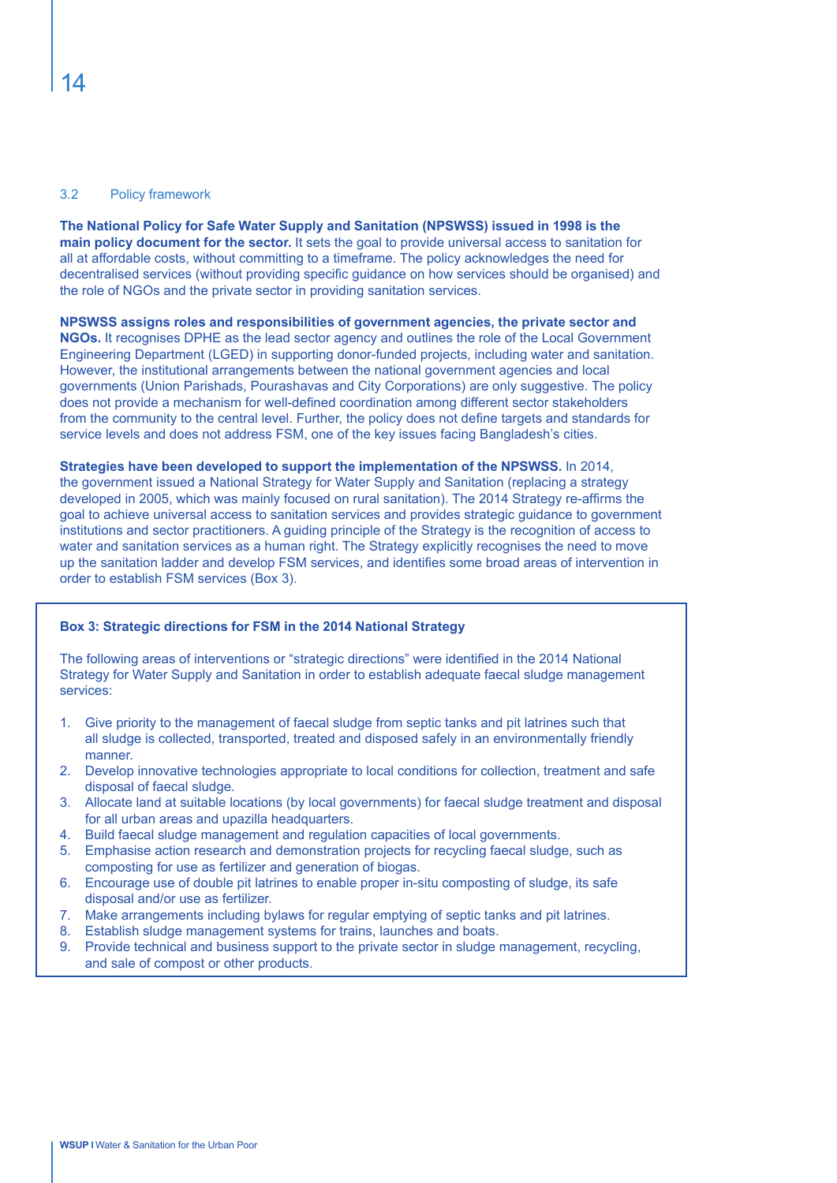#### 3.2 Policy framework

**The National Policy for Safe Water Supply and Sanitation (NPSWSS) issued in 1998 is the main policy document for the sector.** It sets the goal to provide universal access to sanitation for all at affordable costs, without committing to a timeframe. The policy acknowledges the need for decentralised services (without providing specific guidance on how services should be organised) and the role of NGOs and the private sector in providing sanitation services.

**NPSWSS assigns roles and responsibilities of government agencies, the private sector and NGOs.** It recognises DPHE as the lead sector agency and outlines the role of the Local Government Engineering Department (LGED) in supporting donor-funded projects, including water and sanitation. However, the institutional arrangements between the national government agencies and local governments (Union Parishads, Pourashavas and City Corporations) are only suggestive. The policy does not provide a mechanism for well-defined coordination among different sector stakeholders from the community to the central level. Further, the policy does not define targets and standards for service levels and does not address FSM, one of the key issues facing Bangladesh's cities.

**Strategies have been developed to support the implementation of the NPSWSS.** In 2014, the government issued a National Strategy for Water Supply and Sanitation (replacing a strategy developed in 2005, which was mainly focused on rural sanitation). The 2014 Strategy re-affirms the goal to achieve universal access to sanitation services and provides strategic guidance to government institutions and sector practitioners. A guiding principle of the Strategy is the recognition of access to water and sanitation services as a human right. The Strategy explicitly recognises the need to move up the sanitation ladder and develop FSM services, and identifies some broad areas of intervention in order to establish FSM services (Box 3).

#### **Box 3: Strategic directions for FSM in the 2014 National Strategy**

The following areas of interventions or "strategic directions" were identified in the 2014 National Strategy for Water Supply and Sanitation in order to establish adequate faecal sludge management services:

- 1. Give priority to the management of faecal sludge from septic tanks and pit latrines such that all sludge is collected, transported, treated and disposed safely in an environmentally friendly manner.
- 2. Develop innovative technologies appropriate to local conditions for collection, treatment and safe disposal of faecal sludge.
- 3. Allocate land at suitable locations (by local governments) for faecal sludge treatment and disposal for all urban areas and upazilla headquarters.
- 4. Build faecal sludge management and regulation capacities of local governments.
- 5. Emphasise action research and demonstration projects for recycling faecal sludge, such as composting for use as fertilizer and generation of biogas.
- 6. Encourage use of double pit latrines to enable proper in-situ composting of sludge, its safe disposal and/or use as fertilizer.
- 7. Make arrangements including bylaws for regular emptying of septic tanks and pit latrines.
- 8. Establish sludge management systems for trains, launches and boats.
- 9. Provide technical and business support to the private sector in sludge management, recycling, and sale of compost or other products.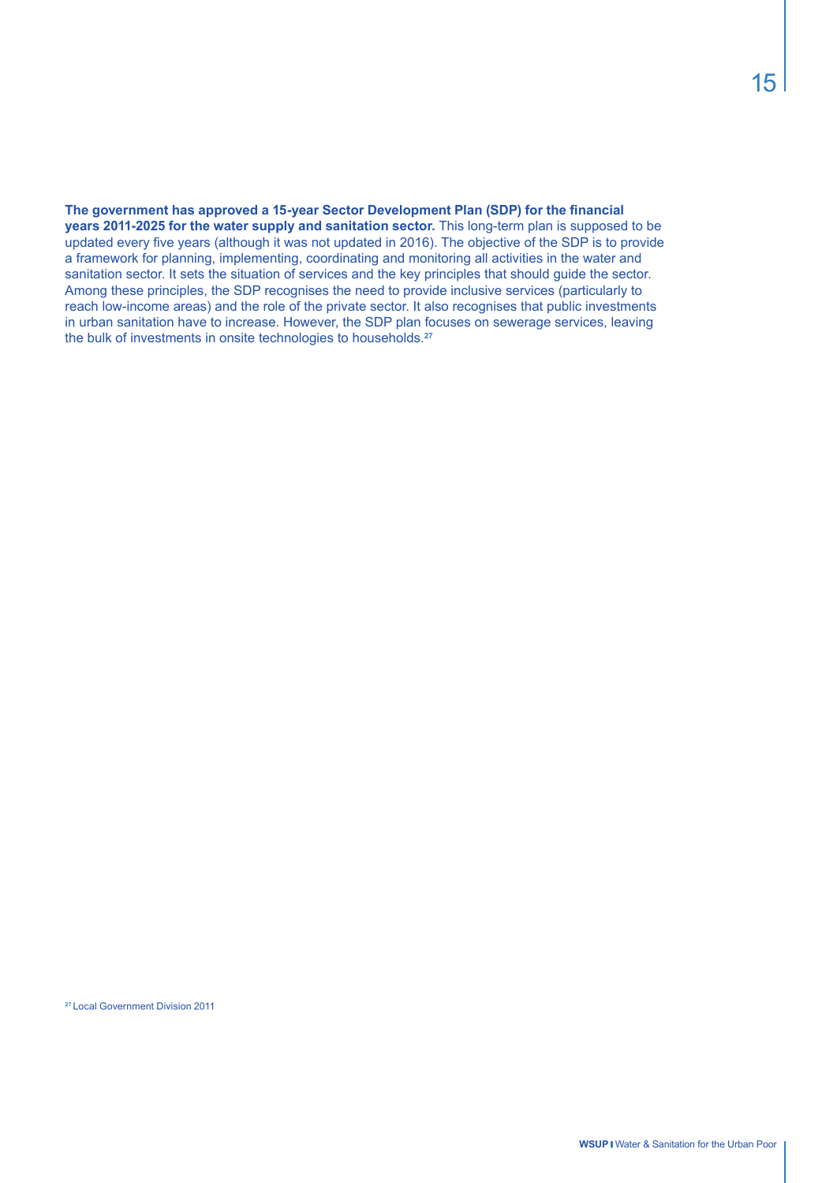**The government has approved a 15-year Sector Development Plan (SDP) for the financial years 2011-2025 for the water supply and sanitation sector.** This long-term plan is supposed to be updated every five years (although it was not updated in 2016). The objective of the SDP is to provide a framework for planning, implementing, coordinating and monitoring all activities in the water and sanitation sector. It sets the situation of services and the key principles that should guide the sector. Among these principles, the SDP recognises the need to provide inclusive services (particularly to reach low-income areas) and the role of the private sector. It also recognises that public investments in urban sanitation have to increase. However, the SDP plan focuses on sewerage services, leaving the bulk of investments in onsite technologies to households.**27**

**<sup>27</sup>**Local Government Division 2011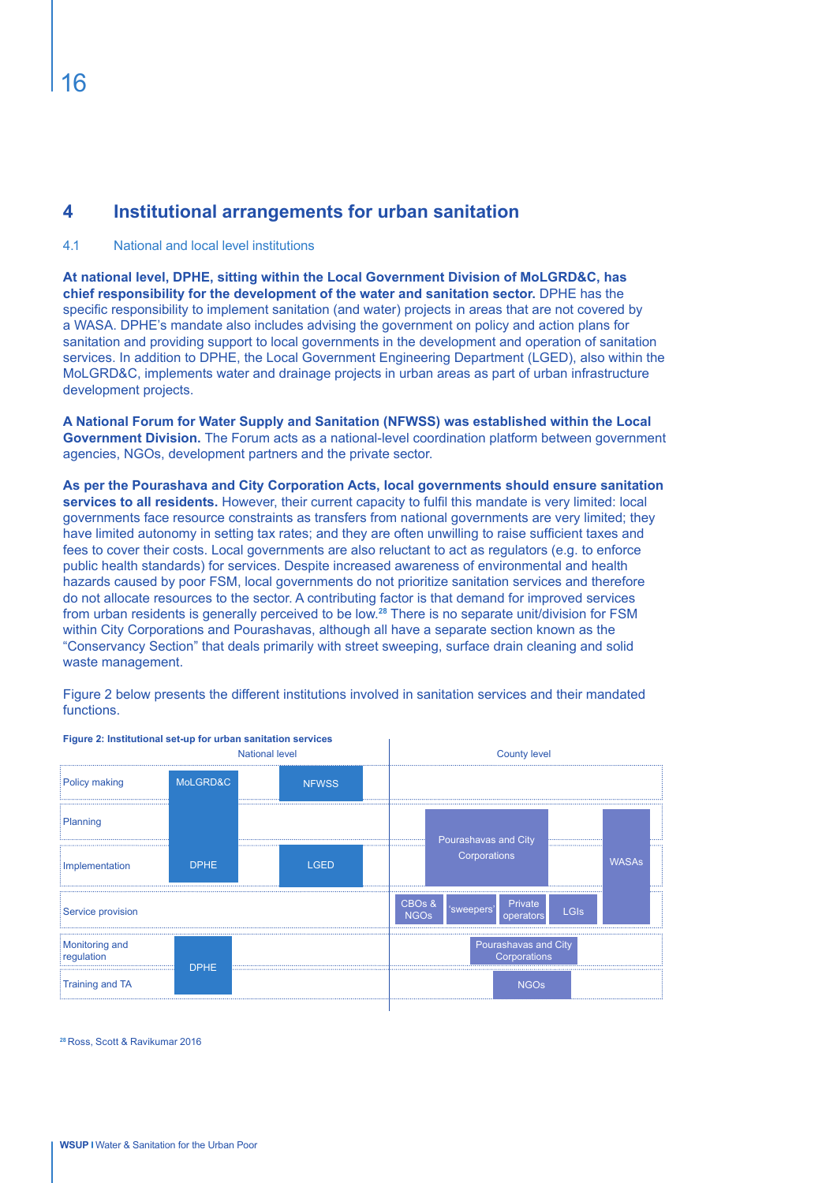# **4 Institutional arrangements for urban sanitation**

#### 4.1 National and local level institutions

**At national level, DPHE, sitting within the Local Government Division of MoLGRD&C, has chief responsibility for the development of the water and sanitation sector.** DPHE has the specific responsibility to implement sanitation (and water) projects in areas that are not covered by a WASA. DPHE's mandate also includes advising the government on policy and action plans for sanitation and providing support to local governments in the development and operation of sanitation services. In addition to DPHE, the Local Government Engineering Department (LGED), also within the MoLGRD&C, implements water and drainage projects in urban areas as part of urban infrastructure development projects.

**A National Forum for Water Supply and Sanitation (NFWSS) was established within the Local Government Division.** The Forum acts as a national-level coordination platform between government agencies, NGOs, development partners and the private sector.

**As per the Pourashava and City Corporation Acts, local governments should ensure sanitation services to all residents.** However, their current capacity to fulfil this mandate is very limited: local governments face resource constraints as transfers from national governments are very limited; they have limited autonomy in setting tax rates; and they are often unwilling to raise sufficient taxes and fees to cover their costs. Local governments are also reluctant to act as regulators (e.g. to enforce public health standards) for services. Despite increased awareness of environmental and health hazards caused by poor FSM, local governments do not prioritize sanitation services and therefore do not allocate resources to the sector. A contributing factor is that demand for improved services from urban residents is generally perceived to be low.**<sup>28</sup>** There is no separate unit/division for FSM within City Corporations and Pourashavas, although all have a separate section known as the "Conservancy Section" that deals primarily with street sweeping, surface drain cleaning and solid waste management.

Figure 2 below presents the different institutions involved in sanitation services and their mandated functions.



**Figure 2: Institutional set-up for urban sanitation services**

**<sup>28</sup>**Ross, Scott & Ravikumar 2016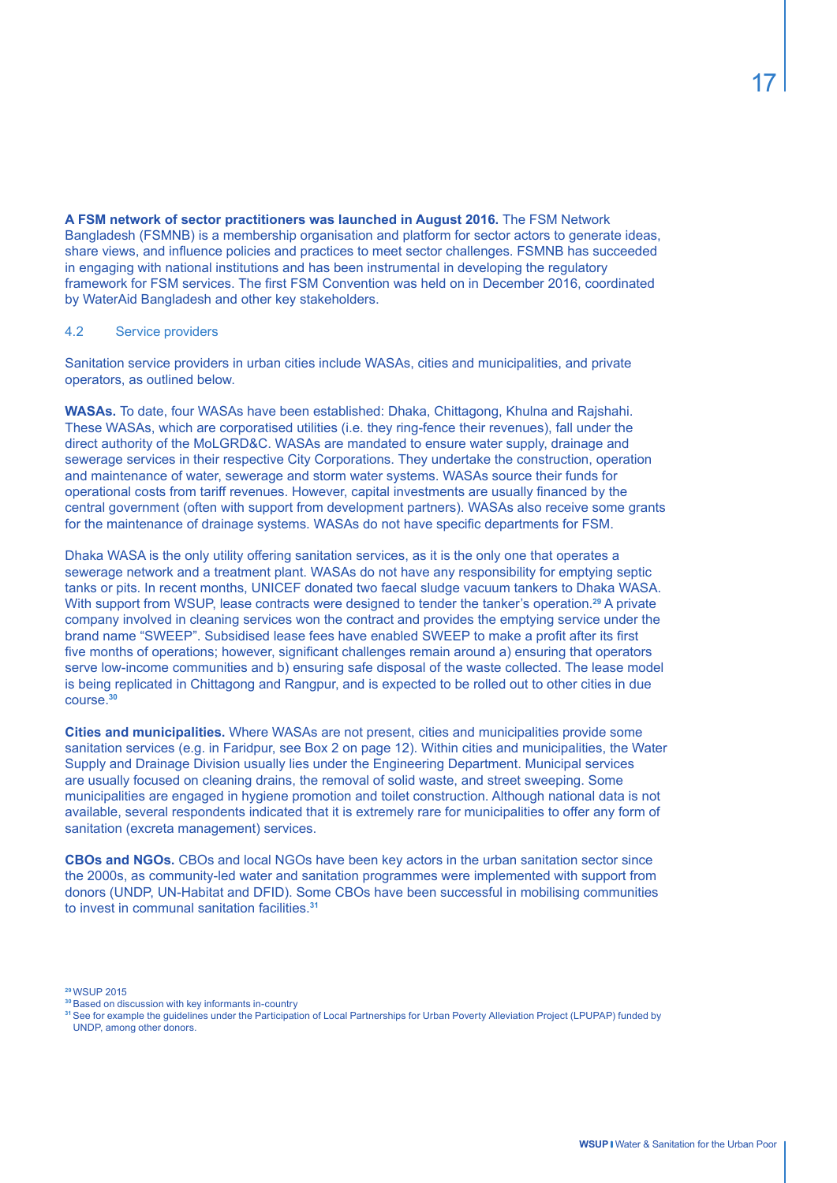**A FSM network of sector practitioners was launched in August 2016.** The FSM Network Bangladesh (FSMNB) is a membership organisation and platform for sector actors to generate ideas, share views, and influence policies and practices to meet sector challenges. FSMNB has succeeded in engaging with national institutions and has been instrumental in developing the regulatory framework for FSM services. The first FSM Convention was held on in December 2016, coordinated by WaterAid Bangladesh and other key stakeholders.

#### 4.2 Service providers

Sanitation service providers in urban cities include WASAs, cities and municipalities, and private operators, as outlined below.

**WASAs.** To date, four WASAs have been established: Dhaka, Chittagong, Khulna and Rajshahi. These WASAs, which are corporatised utilities (i.e. they ring-fence their revenues), fall under the direct authority of the MoLGRD&C. WASAs are mandated to ensure water supply, drainage and sewerage services in their respective City Corporations. They undertake the construction, operation and maintenance of water, sewerage and storm water systems. WASAs source their funds for operational costs from tariff revenues. However, capital investments are usually financed by the central government (often with support from development partners). WASAs also receive some grants for the maintenance of drainage systems. WASAs do not have specific departments for FSM.

Dhaka WASA is the only utility offering sanitation services, as it is the only one that operates a sewerage network and a treatment plant. WASAs do not have any responsibility for emptying septic tanks or pits. In recent months, UNICEF donated two faecal sludge vacuum tankers to Dhaka WASA. With support from WSUP, lease contracts were designed to tender the tanker's operation.**<sup>29</sup>** A private company involved in cleaning services won the contract and provides the emptying service under the brand name "SWEEP". Subsidised lease fees have enabled SWEEP to make a profit after its first five months of operations; however, significant challenges remain around a) ensuring that operators serve low-income communities and b) ensuring safe disposal of the waste collected. The lease model is being replicated in Chittagong and Rangpur, and is expected to be rolled out to other cities in due course.**<sup>30</sup>**

**Cities and municipalities.** Where WASAs are not present, cities and municipalities provide some sanitation services (e.g. in Faridpur, see Box 2 on page 12). Within cities and municipalities, the Water Supply and Drainage Division usually lies under the Engineering Department. Municipal services are usually focused on cleaning drains, the removal of solid waste, and street sweeping. Some municipalities are engaged in hygiene promotion and toilet construction. Although national data is not available, several respondents indicated that it is extremely rare for municipalities to offer any form of sanitation (excreta management) services.

**CBOs and NGOs.** CBOs and local NGOs have been key actors in the urban sanitation sector since the 2000s, as community-led water and sanitation programmes were implemented with support from donors (UNDP, UN-Habitat and DFID). Some CBOs have been successful in mobilising communities to invest in communal sanitation facilities.**<sup>31</sup>**

**<sup>29</sup>**WSUP 2015

**<sup>30</sup>**Based on discussion with key informants in-country

**<sup>31</sup>**See for example the guidelines under the Participation of Local Partnerships for Urban Poverty Alleviation Project (LPUPAP) funded by UNDP, among other donors.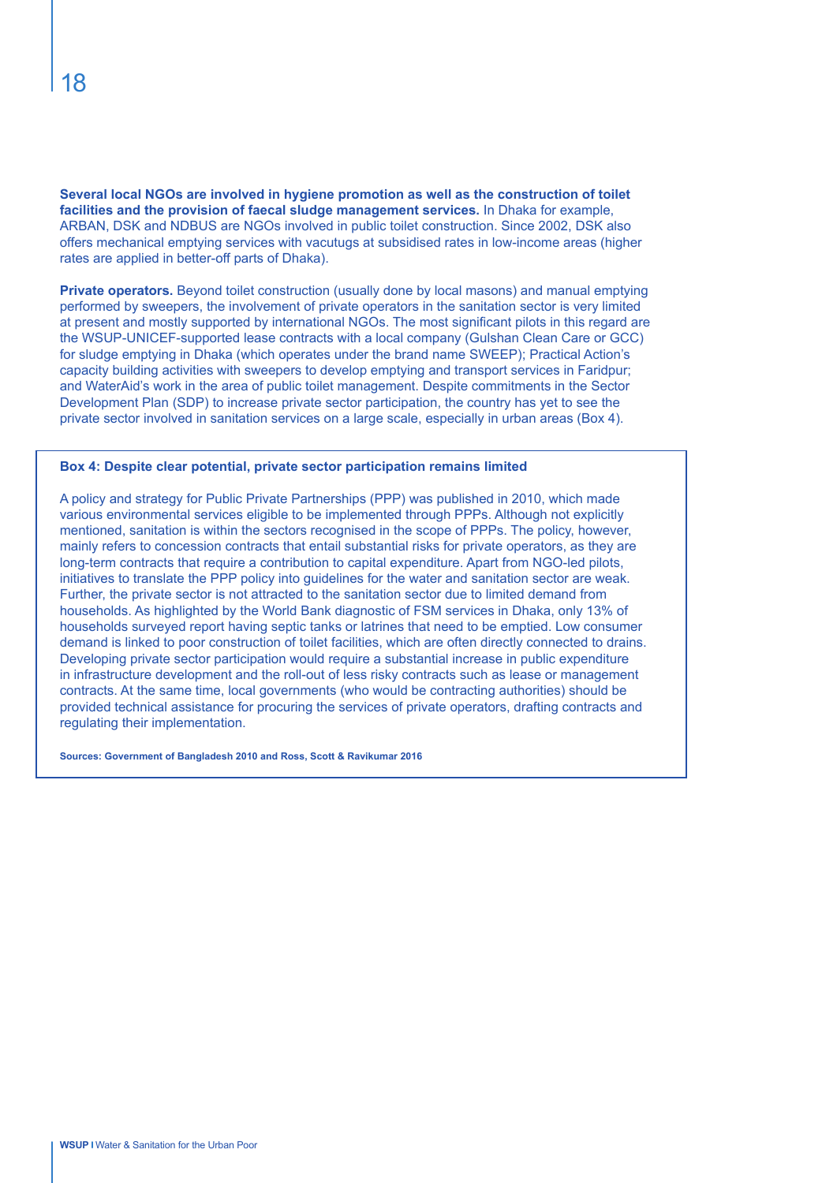**Several local NGOs are involved in hygiene promotion as well as the construction of toilet facilities and the provision of faecal sludge management services.** In Dhaka for example, ARBAN, DSK and NDBUS are NGOs involved in public toilet construction. Since 2002, DSK also offers mechanical emptying services with vacutugs at subsidised rates in low-income areas (higher rates are applied in better-off parts of Dhaka).

**Private operators.** Beyond toilet construction (usually done by local masons) and manual emptying performed by sweepers, the involvement of private operators in the sanitation sector is very limited at present and mostly supported by international NGOs. The most significant pilots in this regard are the WSUP-UNICEF-supported lease contracts with a local company (Gulshan Clean Care or GCC) for sludge emptying in Dhaka (which operates under the brand name SWEEP); Practical Action's capacity building activities with sweepers to develop emptying and transport services in Faridpur; and WaterAid's work in the area of public toilet management. Despite commitments in the Sector Development Plan (SDP) to increase private sector participation, the country has yet to see the private sector involved in sanitation services on a large scale, especially in urban areas (Box 4).

#### **Box 4: Despite clear potential, private sector participation remains limited**

A policy and strategy for Public Private Partnerships (PPP) was published in 2010, which made various environmental services eligible to be implemented through PPPs. Although not explicitly mentioned, sanitation is within the sectors recognised in the scope of PPPs. The policy, however, mainly refers to concession contracts that entail substantial risks for private operators, as they are long-term contracts that require a contribution to capital expenditure. Apart from NGO-led pilots, initiatives to translate the PPP policy into guidelines for the water and sanitation sector are weak. Further, the private sector is not attracted to the sanitation sector due to limited demand from households. As highlighted by the World Bank diagnostic of FSM services in Dhaka, only 13% of households surveyed report having septic tanks or latrines that need to be emptied. Low consumer demand is linked to poor construction of toilet facilities, which are often directly connected to drains. Developing private sector participation would require a substantial increase in public expenditure in infrastructure development and the roll-out of less risky contracts such as lease or management contracts. At the same time, local governments (who would be contracting authorities) should be provided technical assistance for procuring the services of private operators, drafting contracts and regulating their implementation.

**Sources: Government of Bangladesh 2010 and Ross, Scott & Ravikumar 2016**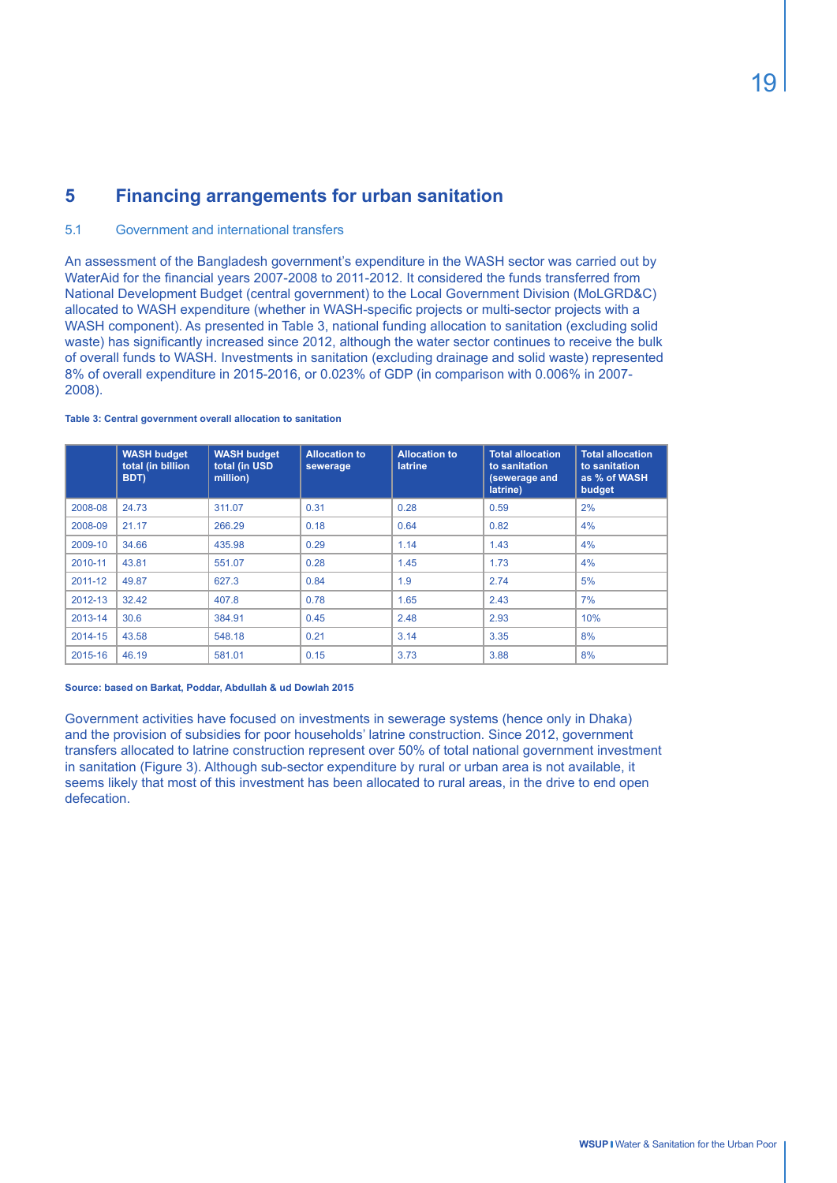# **5 Financing arrangements for urban sanitation**

#### 5.1 Government and international transfers

An assessment of the Bangladesh government's expenditure in the WASH sector was carried out by WaterAid for the financial years 2007-2008 to 2011-2012. It considered the funds transferred from National Development Budget (central government) to the Local Government Division (MoLGRD&C) allocated to WASH expenditure (whether in WASH-specific projects or multi-sector projects with a WASH component). As presented in Table 3, national funding allocation to sanitation (excluding solid waste) has significantly increased since 2012, although the water sector continues to receive the bulk of overall funds to WASH. Investments in sanitation (excluding drainage and solid waste) represented 8% of overall expenditure in 2015-2016, or 0.023% of GDP (in comparison with 0.006% in 2007- 2008).

#### **Table 3: Central government overall allocation to sanitation**

|         | <b>WASH budget</b><br>total (in billion<br>BDT) | <b>WASH budget</b><br>total (in USD<br>million) | <b>Allocation to</b><br>sewerage | <b>Allocation to</b><br><b>latrine</b> | <b>Total allocation</b><br>to sanitation<br>(sewerage and<br>latrine) | <b>Total allocation</b><br>to sanitation<br>as % of WASH<br>budget |
|---------|-------------------------------------------------|-------------------------------------------------|----------------------------------|----------------------------------------|-----------------------------------------------------------------------|--------------------------------------------------------------------|
| 2008-08 | 24.73                                           | 311.07                                          | 0.31                             | 0.28                                   | 0.59                                                                  | 2%                                                                 |
| 2008-09 | 21.17                                           | 266.29                                          | 0.18                             | 0.64                                   | 0.82                                                                  | 4%                                                                 |
| 2009-10 | 34.66                                           | 435.98                                          | 0.29                             | 1.14                                   | 1.43                                                                  | 4%                                                                 |
| 2010-11 | 43.81                                           | 551.07                                          | 0.28                             | 1.45                                   | 1.73                                                                  | 4%                                                                 |
| 2011-12 | 49.87                                           | 627.3                                           | 0.84                             | 1.9                                    | 2.74                                                                  | 5%                                                                 |
| 2012-13 | 32.42                                           | 407.8                                           | 0.78                             | 1.65                                   | 2.43                                                                  | 7%                                                                 |
| 2013-14 | 30.6                                            | 384.91                                          | 0.45                             | 2.48                                   | 2.93                                                                  | 10%                                                                |
| 2014-15 | 43.58                                           | 548.18                                          | 0.21                             | 3.14                                   | 3.35                                                                  | 8%                                                                 |
| 2015-16 | 46.19                                           | 581.01                                          | 0.15                             | 3.73                                   | 3.88                                                                  | 8%                                                                 |

#### **Source: based on Barkat, Poddar, Abdullah & ud Dowlah 2015**

Government activities have focused on investments in sewerage systems (hence only in Dhaka) and the provision of subsidies for poor households' latrine construction. Since 2012, government transfers allocated to latrine construction represent over 50% of total national government investment in sanitation (Figure 3). Although sub-sector expenditure by rural or urban area is not available, it seems likely that most of this investment has been allocated to rural areas, in the drive to end open defecation.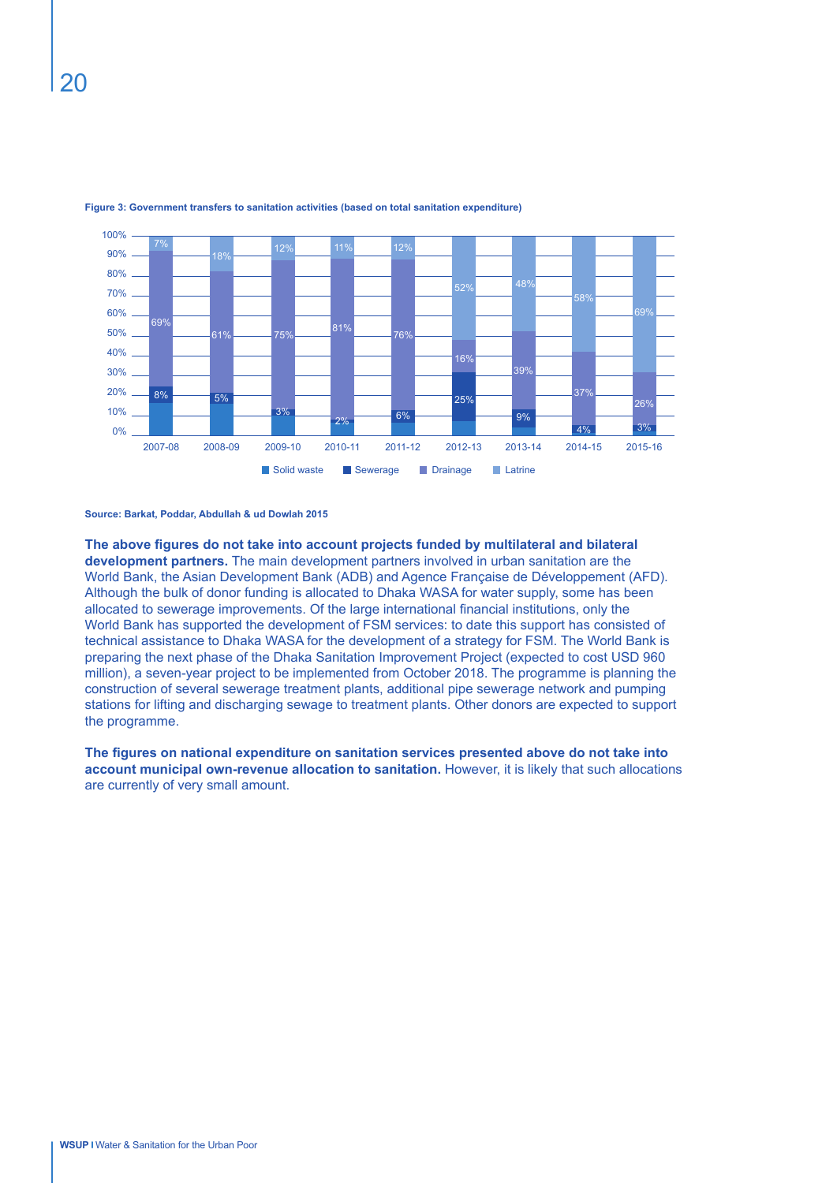

#### **Figure 3: Government transfers to sanitation activities (based on total sanitation expenditure)**

**Source: Barkat, Poddar, Abdullah & ud Dowlah 2015**

**The above figures do not take into account projects funded by multilateral and bilateral development partners.** The main development partners involved in urban sanitation are the World Bank, the Asian Development Bank (ADB) and Agence Française de Développement (AFD). Although the bulk of donor funding is allocated to Dhaka WASA for water supply, some has been allocated to sewerage improvements. Of the large international financial institutions, only the World Bank has supported the development of FSM services: to date this support has consisted of technical assistance to Dhaka WASA for the development of a strategy for FSM. The World Bank is preparing the next phase of the Dhaka Sanitation Improvement Project (expected to cost USD 960 million), a seven-year project to be implemented from October 2018. The programme is planning the construction of several sewerage treatment plants, additional pipe sewerage network and pumping stations for lifting and discharging sewage to treatment plants. Other donors are expected to support the programme.

**The figures on national expenditure on sanitation services presented above do not take into account municipal own-revenue allocation to sanitation.** However, it is likely that such allocations are currently of very small amount.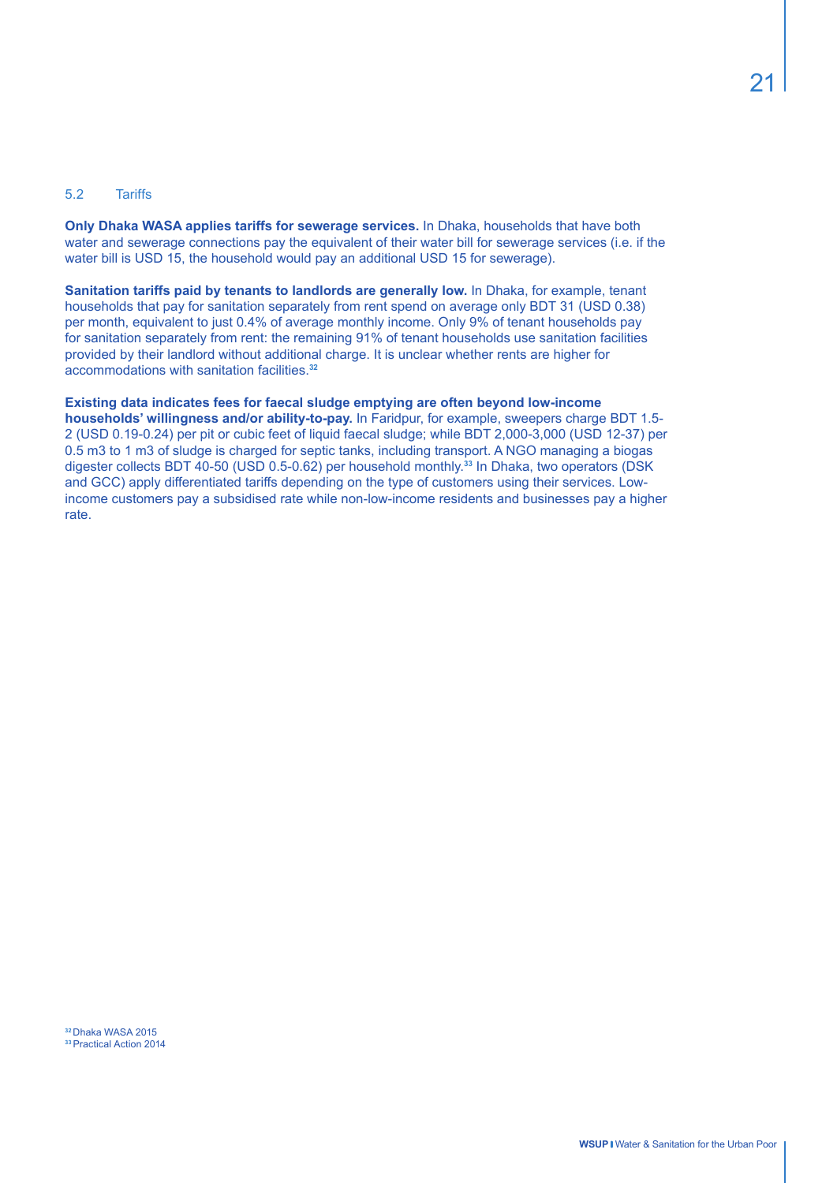#### 5.2 Tariffs

**Only Dhaka WASA applies tariffs for sewerage services.** In Dhaka, households that have both water and sewerage connections pay the equivalent of their water bill for sewerage services (i.e. if the water bill is USD 15, the household would pay an additional USD 15 for sewerage).

**Sanitation tariffs paid by tenants to landlords are generally low.** In Dhaka, for example, tenant households that pay for sanitation separately from rent spend on average only BDT 31 (USD 0.38) per month, equivalent to just 0.4% of average monthly income. Only 9% of tenant households pay for sanitation separately from rent: the remaining 91% of tenant households use sanitation facilities provided by their landlord without additional charge. It is unclear whether rents are higher for accommodations with sanitation facilities.**<sup>32</sup>**

**Existing data indicates fees for faecal sludge emptying are often beyond low-income households' willingness and/or ability-to-pay.** In Faridpur, for example, sweepers charge BDT 1.5- 2 (USD 0.19-0.24) per pit or cubic feet of liquid faecal sludge; while BDT 2,000-3,000 (USD 12-37) per 0.5 m3 to 1 m3 of sludge is charged for septic tanks, including transport. A NGO managing a biogas digester collects BDT 40-50 (USD 0.5-0.62) per household monthly.**<sup>33</sup>** In Dhaka, two operators (DSK and GCC) apply differentiated tariffs depending on the type of customers using their services. Lowincome customers pay a subsidised rate while non-low-income residents and businesses pay a higher rate.

**<sup>32</sup>**Dhaka WASA 2015 **<sup>33</sup>**Practical Action 2014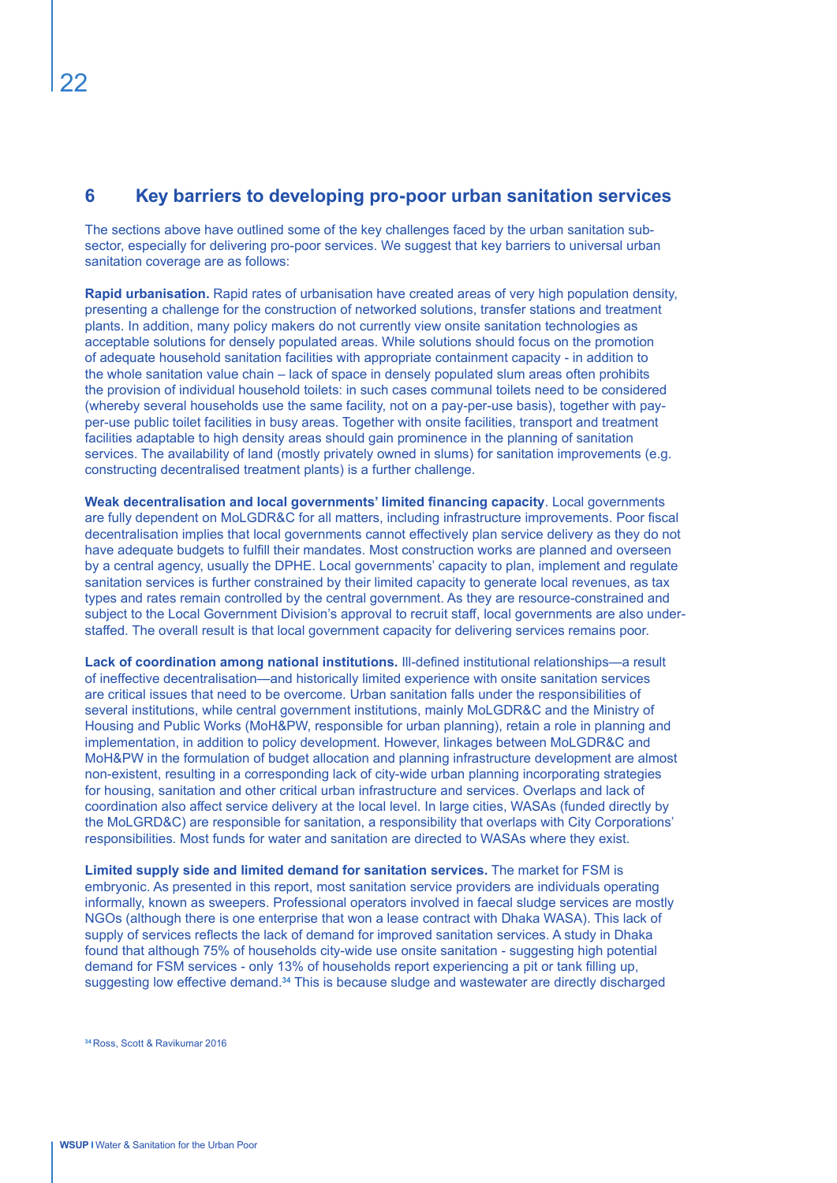# **6 Key barriers to developing pro-poor urban sanitation services**

The sections above have outlined some of the key challenges faced by the urban sanitation subsector, especially for delivering pro-poor services. We suggest that key barriers to universal urban sanitation coverage are as follows:

**Rapid urbanisation.** Rapid rates of urbanisation have created areas of very high population density, presenting a challenge for the construction of networked solutions, transfer stations and treatment plants. In addition, many policy makers do not currently view onsite sanitation technologies as acceptable solutions for densely populated areas. While solutions should focus on the promotion of adequate household sanitation facilities with appropriate containment capacity - in addition to the whole sanitation value chain – lack of space in densely populated slum areas often prohibits the provision of individual household toilets: in such cases communal toilets need to be considered (whereby several households use the same facility, not on a pay-per-use basis), together with payper-use public toilet facilities in busy areas. Together with onsite facilities, transport and treatment facilities adaptable to high density areas should gain prominence in the planning of sanitation services. The availability of land (mostly privately owned in slums) for sanitation improvements (e.g. constructing decentralised treatment plants) is a further challenge.

**Weak decentralisation and local governments' limited financing capacity**. Local governments are fully dependent on MoLGDR&C for all matters, including infrastructure improvements. Poor fiscal decentralisation implies that local governments cannot effectively plan service delivery as they do not have adequate budgets to fulfill their mandates. Most construction works are planned and overseen by a central agency, usually the DPHE. Local governments' capacity to plan, implement and regulate sanitation services is further constrained by their limited capacity to generate local revenues, as tax types and rates remain controlled by the central government. As they are resource-constrained and subject to the Local Government Division's approval to recruit staff, local governments are also understaffed. The overall result is that local government capacity for delivering services remains poor.

**Lack of coordination among national institutions.** Ill-defined institutional relationships—a result of ineffective decentralisation—and historically limited experience with onsite sanitation services are critical issues that need to be overcome. Urban sanitation falls under the responsibilities of several institutions, while central government institutions, mainly MoLGDR&C and the Ministry of Housing and Public Works (MoH&PW, responsible for urban planning), retain a role in planning and implementation, in addition to policy development. However, linkages between MoLGDR&C and MoH&PW in the formulation of budget allocation and planning infrastructure development are almost non-existent, resulting in a corresponding lack of city-wide urban planning incorporating strategies for housing, sanitation and other critical urban infrastructure and services. Overlaps and lack of coordination also affect service delivery at the local level. In large cities, WASAs (funded directly by the MoLGRD&C) are responsible for sanitation, a responsibility that overlaps with City Corporations' responsibilities. Most funds for water and sanitation are directed to WASAs where they exist.

**Limited supply side and limited demand for sanitation services.** The market for FSM is embryonic. As presented in this report, most sanitation service providers are individuals operating informally, known as sweepers. Professional operators involved in faecal sludge services are mostly NGOs (although there is one enterprise that won a lease contract with Dhaka WASA). This lack of supply of services reflects the lack of demand for improved sanitation services. A study in Dhaka found that although 75% of households city-wide use onsite sanitation - suggesting high potential demand for FSM services - only 13% of households report experiencing a pit or tank filling up, suggesting low effective demand.**<sup>34</sup>** This is because sludge and wastewater are directly discharged

**34** Ross, Scott & Ravikumar 2016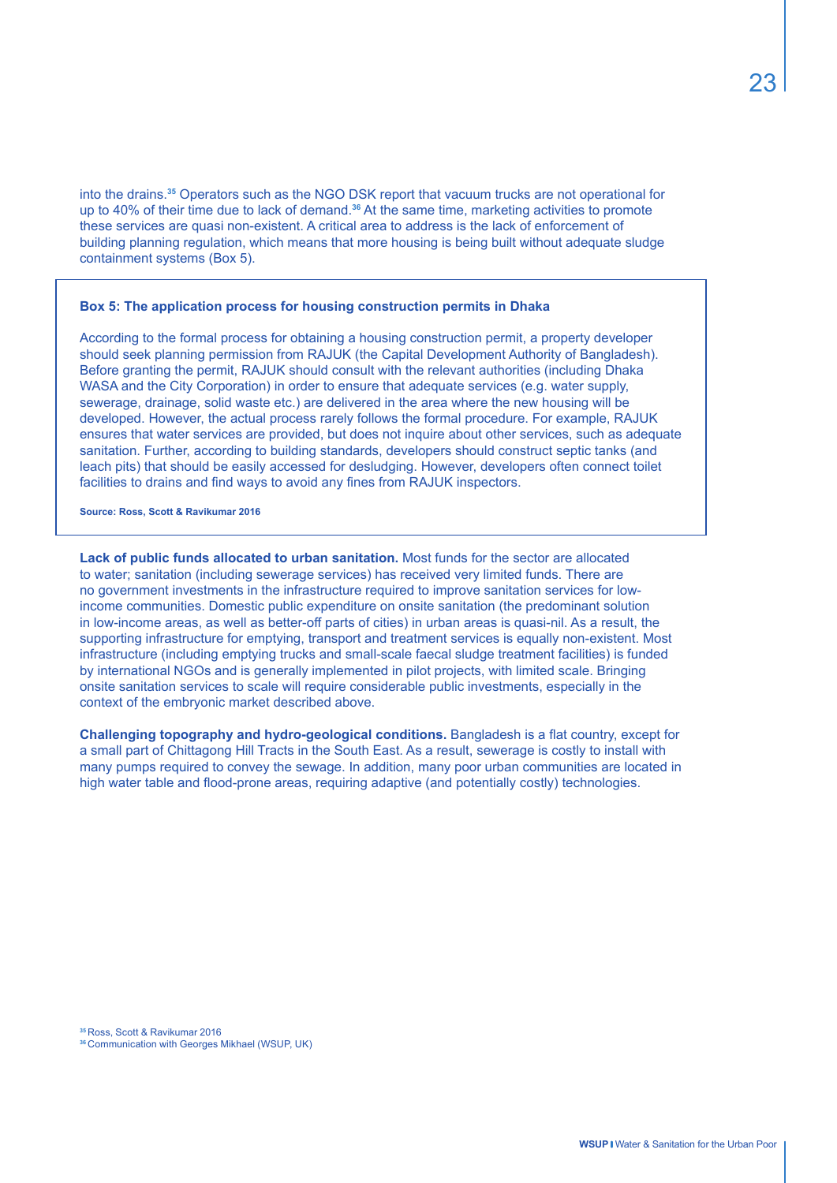23

into the drains.**<sup>35</sup>** Operators such as the NGO DSK report that vacuum trucks are not operational for up to 40% of their time due to lack of demand.**<sup>36</sup>** At the same time, marketing activities to promote these services are quasi non-existent. A critical area to address is the lack of enforcement of building planning regulation, which means that more housing is being built without adequate sludge containment systems (Box 5).

#### **Box 5: The application process for housing construction permits in Dhaka**

According to the formal process for obtaining a housing construction permit, a property developer should seek planning permission from RAJUK (the Capital Development Authority of Bangladesh). Before granting the permit, RAJUK should consult with the relevant authorities (including Dhaka WASA and the City Corporation) in order to ensure that adequate services (e.g. water supply, sewerage, drainage, solid waste etc.) are delivered in the area where the new housing will be developed. However, the actual process rarely follows the formal procedure. For example, RAJUK ensures that water services are provided, but does not inquire about other services, such as adequate sanitation. Further, according to building standards, developers should construct septic tanks (and leach pits) that should be easily accessed for desludging. However, developers often connect toilet facilities to drains and find ways to avoid any fines from RAJUK inspectors.

**Source: Ross, Scott & Ravikumar 2016**

**Lack of public funds allocated to urban sanitation.** Most funds for the sector are allocated to water; sanitation (including sewerage services) has received very limited funds. There are no government investments in the infrastructure required to improve sanitation services for lowincome communities. Domestic public expenditure on onsite sanitation (the predominant solution in low-income areas, as well as better-off parts of cities) in urban areas is quasi-nil. As a result, the supporting infrastructure for emptying, transport and treatment services is equally non-existent. Most infrastructure (including emptying trucks and small-scale faecal sludge treatment facilities) is funded by international NGOs and is generally implemented in pilot projects, with limited scale. Bringing onsite sanitation services to scale will require considerable public investments, especially in the context of the embryonic market described above.

**Challenging topography and hydro-geological conditions.** Bangladesh is a flat country, except for a small part of Chittagong Hill Tracts in the South East. As a result, sewerage is costly to install with many pumps required to convey the sewage. In addition, many poor urban communities are located in high water table and flood-prone areas, requiring adaptive (and potentially costly) technologies.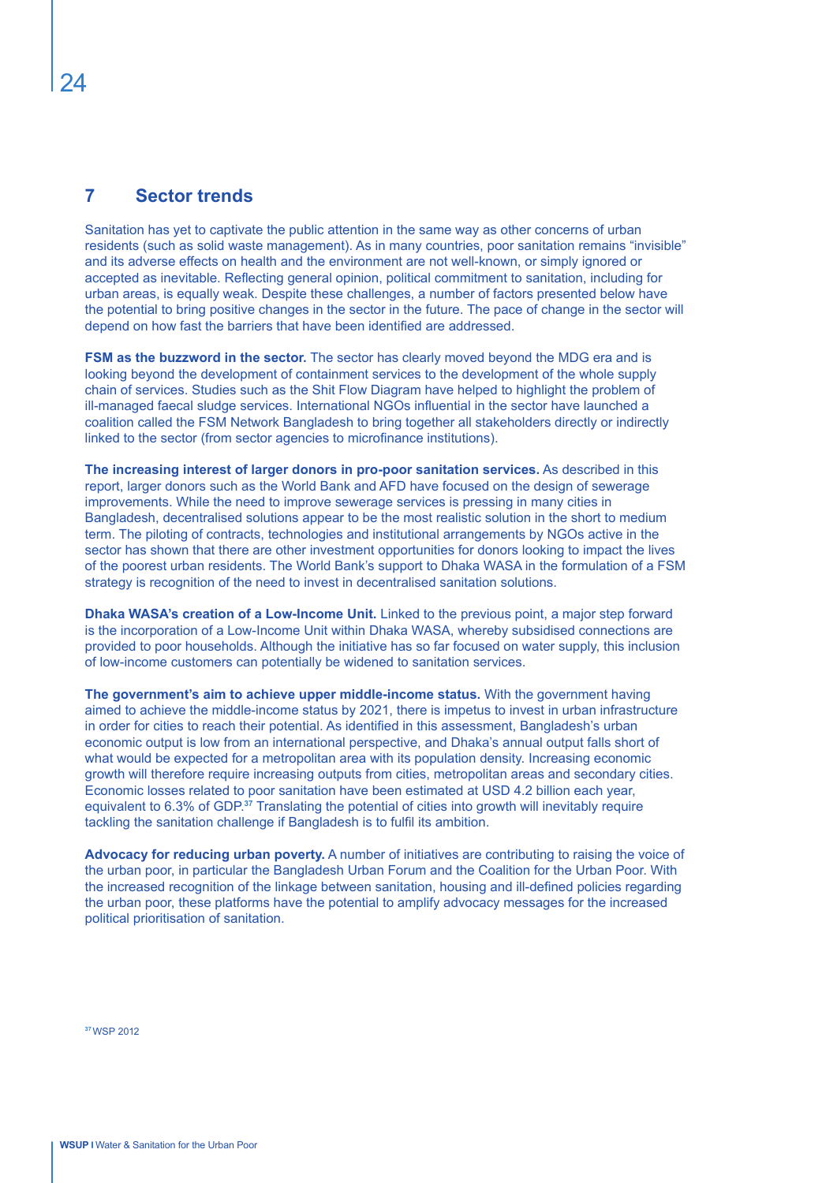# **7 Sector trends**

Sanitation has yet to captivate the public attention in the same way as other concerns of urban residents (such as solid waste management). As in many countries, poor sanitation remains "invisible" and its adverse effects on health and the environment are not well-known, or simply ignored or accepted as inevitable. Reflecting general opinion, political commitment to sanitation, including for urban areas, is equally weak. Despite these challenges, a number of factors presented below have the potential to bring positive changes in the sector in the future. The pace of change in the sector will depend on how fast the barriers that have been identified are addressed.

**FSM as the buzzword in the sector.** The sector has clearly moved beyond the MDG era and is looking beyond the development of containment services to the development of the whole supply chain of services. Studies such as the Shit Flow Diagram have helped to highlight the problem of ill-managed faecal sludge services. International NGOs influential in the sector have launched a coalition called the FSM Network Bangladesh to bring together all stakeholders directly or indirectly linked to the sector (from sector agencies to microfinance institutions).

**The increasing interest of larger donors in pro-poor sanitation services.** As described in this report, larger donors such as the World Bank and AFD have focused on the design of sewerage improvements. While the need to improve sewerage services is pressing in many cities in Bangladesh, decentralised solutions appear to be the most realistic solution in the short to medium term. The piloting of contracts, technologies and institutional arrangements by NGOs active in the sector has shown that there are other investment opportunities for donors looking to impact the lives of the poorest urban residents. The World Bank's support to Dhaka WASA in the formulation of a FSM strategy is recognition of the need to invest in decentralised sanitation solutions.

**Dhaka WASA's creation of a Low-Income Unit.** Linked to the previous point, a major step forward is the incorporation of a Low-Income Unit within Dhaka WASA, whereby subsidised connections are provided to poor households. Although the initiative has so far focused on water supply, this inclusion of low-income customers can potentially be widened to sanitation services.

**The government's aim to achieve upper middle-income status.** With the government having aimed to achieve the middle-income status by 2021, there is impetus to invest in urban infrastructure in order for cities to reach their potential. As identified in this assessment, Bangladesh's urban economic output is low from an international perspective, and Dhaka's annual output falls short of what would be expected for a metropolitan area with its population density. Increasing economic growth will therefore require increasing outputs from cities, metropolitan areas and secondary cities. Economic losses related to poor sanitation have been estimated at USD 4.2 billion each year, equivalent to 6.3% of GDP.**<sup>37</sup>** Translating the potential of cities into growth will inevitably require tackling the sanitation challenge if Bangladesh is to fulfil its ambition.

**Advocacy for reducing urban poverty.** A number of initiatives are contributing to raising the voice of the urban poor, in particular the Bangladesh Urban Forum and the Coalition for the Urban Poor. With the increased recognition of the linkage between sanitation, housing and ill-defined policies regarding the urban poor, these platforms have the potential to amplify advocacy messages for the increased political prioritisation of sanitation.

**37** WSP 2012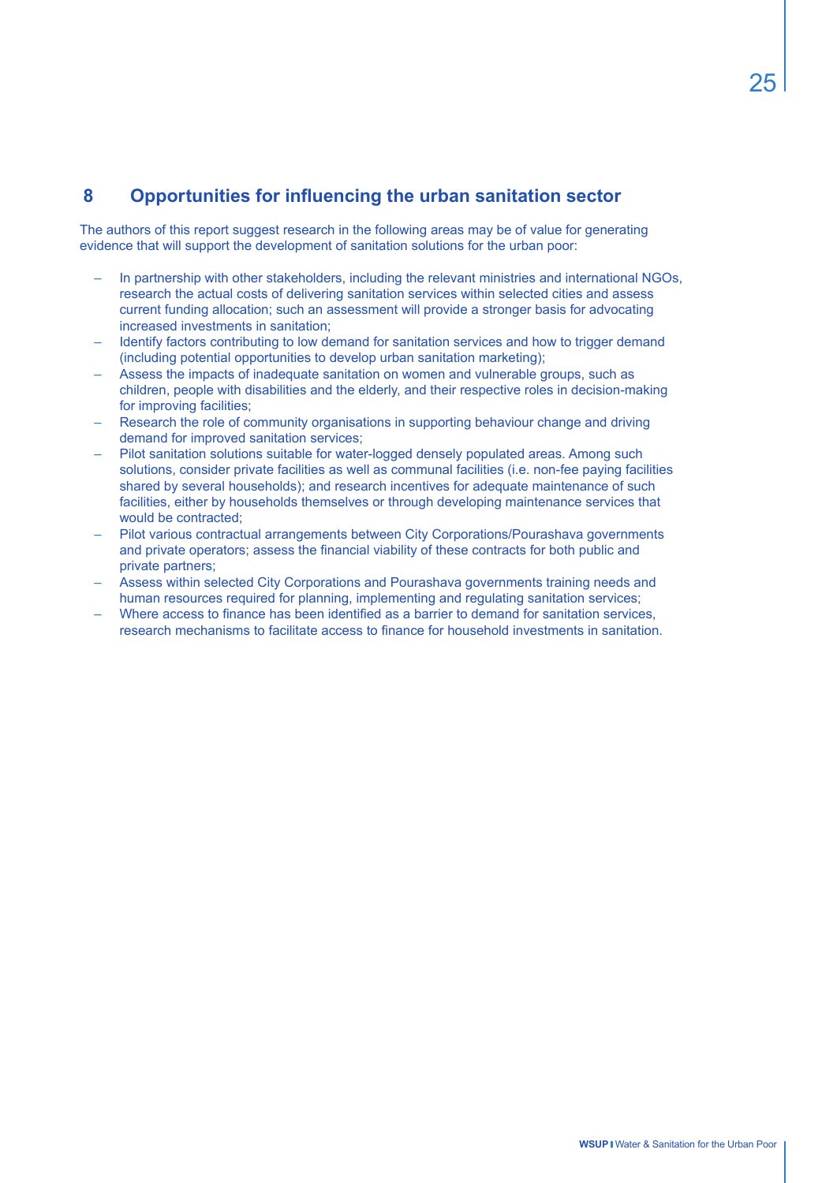# **8 Opportunities for influencing the urban sanitation sector**

The authors of this report suggest research in the following areas may be of value for generating evidence that will support the development of sanitation solutions for the urban poor:

- In partnership with other stakeholders, including the relevant ministries and international NGOs, research the actual costs of delivering sanitation services within selected cities and assess current funding allocation; such an assessment will provide a stronger basis for advocating increased investments in sanitation;
- Identify factors contributing to low demand for sanitation services and how to trigger demand (including potential opportunities to develop urban sanitation marketing);
- Assess the impacts of inadequate sanitation on women and vulnerable groups, such as children, people with disabilities and the elderly, and their respective roles in decision-making for improving facilities;
- Research the role of community organisations in supporting behaviour change and driving demand for improved sanitation services;
- Pilot sanitation solutions suitable for water-logged densely populated areas. Among such solutions, consider private facilities as well as communal facilities (i.e. non-fee paying facilities shared by several households); and research incentives for adequate maintenance of such facilities, either by households themselves or through developing maintenance services that would be contracted:
- Pilot various contractual arrangements between City Corporations/Pourashava governments and private operators; assess the financial viability of these contracts for both public and private partners;
- Assess within selected City Corporations and Pourashava governments training needs and human resources required for planning, implementing and regulating sanitation services;
- Where access to finance has been identified as a barrier to demand for sanitation services, research mechanisms to facilitate access to finance for household investments in sanitation.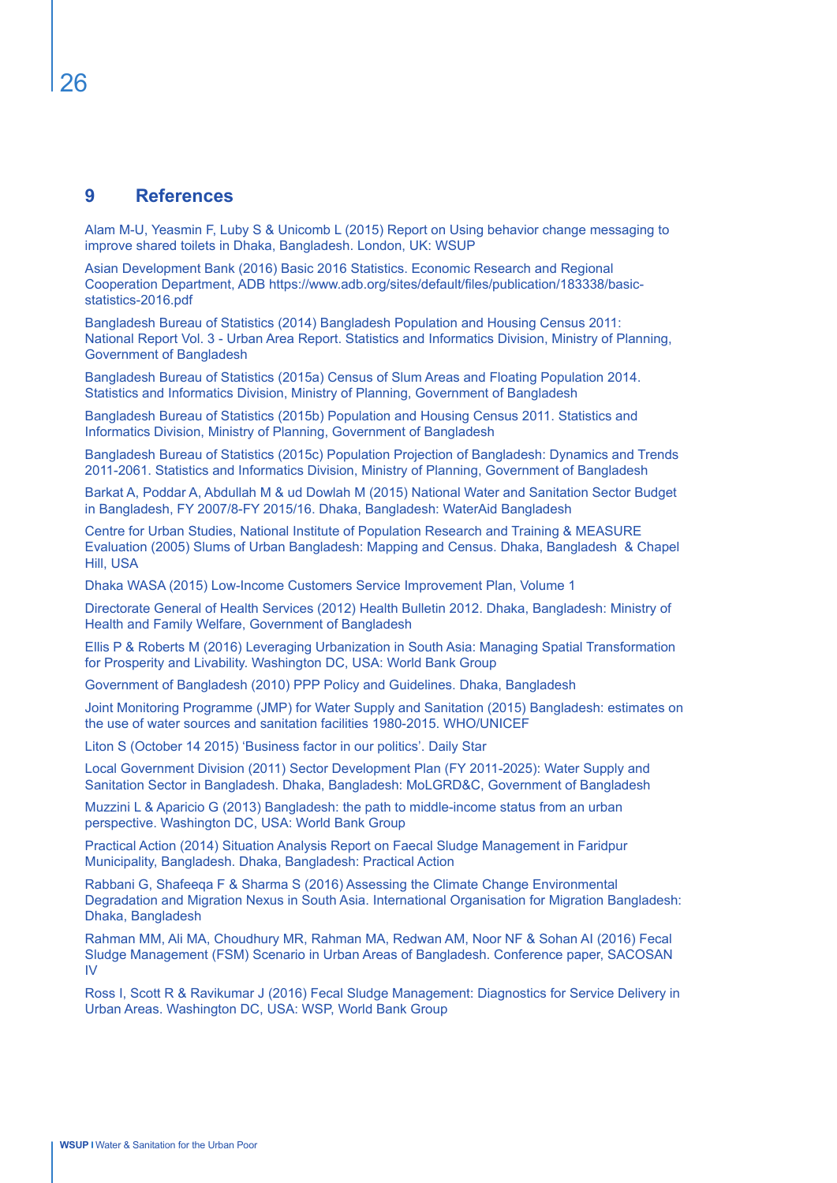### **9 References**

Alam M-U, Yeasmin F, Luby S & Unicomb L (2015) Report on Using behavior change messaging to improve shared toilets in Dhaka, Bangladesh. London, UK: WSUP

Asian Development Bank (2016) Basic 2016 Statistics. Economic Research and Regional Cooperation Department, ADB https://www.adb.org/sites/default/files/publication/183338/basicstatistics-2016.pdf

Bangladesh Bureau of Statistics (2014) Bangladesh Population and Housing Census 2011: National Report Vol. 3 - Urban Area Report. Statistics and Informatics Division, Ministry of Planning, Government of Bangladesh

Bangladesh Bureau of Statistics (2015a) Census of Slum Areas and Floating Population 2014. Statistics and Informatics Division, Ministry of Planning, Government of Bangladesh

Bangladesh Bureau of Statistics (2015b) Population and Housing Census 2011. Statistics and Informatics Division, Ministry of Planning, Government of Bangladesh

Bangladesh Bureau of Statistics (2015c) Population Projection of Bangladesh: Dynamics and Trends 2011-2061. Statistics and Informatics Division, Ministry of Planning, Government of Bangladesh

Barkat A, Poddar A, Abdullah M & ud Dowlah M (2015) National Water and Sanitation Sector Budget in Bangladesh, FY 2007/8-FY 2015/16. Dhaka, Bangladesh: WaterAid Bangladesh

Centre for Urban Studies, National Institute of Population Research and Training & MEASURE Evaluation (2005) Slums of Urban Bangladesh: Mapping and Census. Dhaka, Bangladesh & Chapel Hill, USA

Dhaka WASA (2015) Low-Income Customers Service Improvement Plan, Volume 1

Directorate General of Health Services (2012) Health Bulletin 2012. Dhaka, Bangladesh: Ministry of Health and Family Welfare, Government of Bangladesh

Ellis P & Roberts M (2016) Leveraging Urbanization in South Asia: Managing Spatial Transformation for Prosperity and Livability. Washington DC, USA: World Bank Group

Government of Bangladesh (2010) PPP Policy and Guidelines. Dhaka, Bangladesh

Joint Monitoring Programme (JMP) for Water Supply and Sanitation (2015) Bangladesh: estimates on the use of water sources and sanitation facilities 1980-2015. WHO/UNICEF

Liton S (October 14 2015) 'Business factor in our politics'. Daily Star

Local Government Division (2011) Sector Development Plan (FY 2011-2025): Water Supply and Sanitation Sector in Bangladesh. Dhaka, Bangladesh: MoLGRD&C, Government of Bangladesh

Muzzini L & Aparicio G (2013) Bangladesh: the path to middle-income status from an urban perspective. Washington DC, USA: World Bank Group

Practical Action (2014) Situation Analysis Report on Faecal Sludge Management in Faridpur Municipality, Bangladesh. Dhaka, Bangladesh: Practical Action

Rabbani G, Shafeeqa F & Sharma S (2016) Assessing the Climate Change Environmental Degradation and Migration Nexus in South Asia. International Organisation for Migration Bangladesh: Dhaka, Bangladesh

Rahman MM, Ali MA, Choudhury MR, Rahman MA, Redwan AM, Noor NF & Sohan AI (2016) Fecal Sludge Management (FSM) Scenario in Urban Areas of Bangladesh. Conference paper, SACOSAN IV

Ross I, Scott R & Ravikumar J (2016) Fecal Sludge Management: Diagnostics for Service Delivery in Urban Areas. Washington DC, USA: WSP, World Bank Group